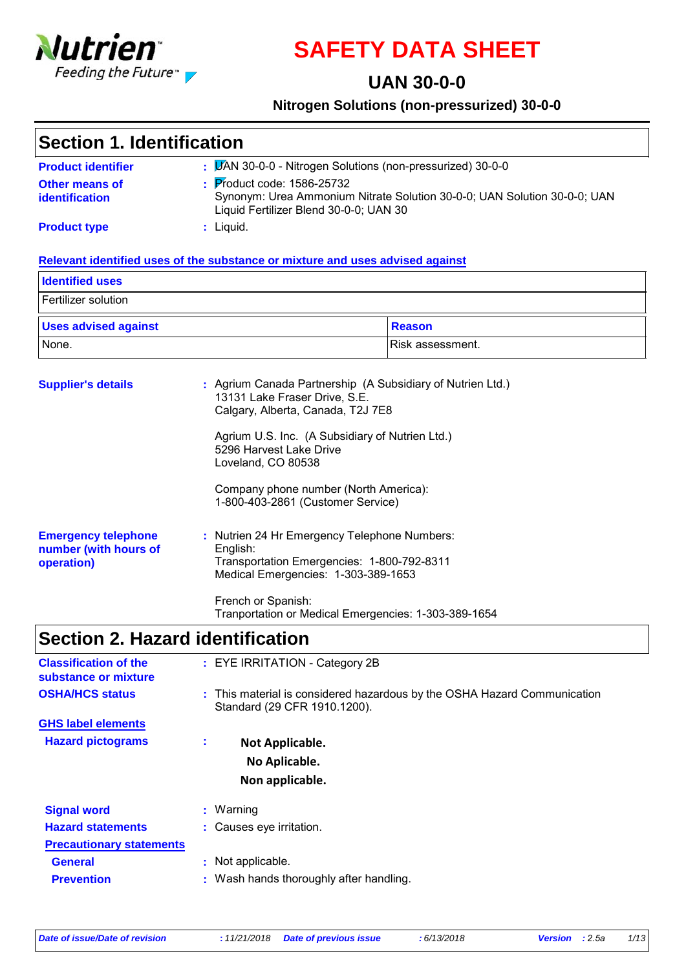

# **SAFETY DATA SHEET**

### **UAN 30-0-0**

#### **Nitrogen Solutions (non-pressurized) 30-0-0**

| Section 1. Identification               |                                                                                                                                                              |  |
|-----------------------------------------|--------------------------------------------------------------------------------------------------------------------------------------------------------------|--|
| <b>Product identifier</b>               | : <b>JAN 30-0-0 - Nitrogen Solutions (non-pressurized) 30-0-0</b>                                                                                            |  |
| <b>Other means of</b><br>identification | $\frac{1}{2}$ Product code: 1586-25732<br>Synonym: Urea Ammonium Nitrate Solution 30-0-0; UAN Solution 30-0-0; UAN<br>Liquid Fertilizer Blend 30-0-0; UAN 30 |  |
| <b>Product type</b>                     | $:$ Liquid.                                                                                                                                                  |  |

#### **Relevant identified uses of the substance or mixture and uses advised against**

| <b>Identified uses</b>      |        |
|-----------------------------|--------|
| Fertilizer solution         |        |
|                             |        |
| <b>Uses advised against</b> | Reason |

| <b>Supplier's details</b>                                         | : Agrium Canada Partnership (A Subsidiary of Nutrien Ltd.)<br>13131 Lake Fraser Drive, S.E.<br>Calgary, Alberta, Canada, T2J 7E8              |
|-------------------------------------------------------------------|-----------------------------------------------------------------------------------------------------------------------------------------------|
|                                                                   | Agrium U.S. Inc. (A Subsidiary of Nutrien Ltd.)<br>5296 Harvest Lake Drive<br>Loveland, CO 80538                                              |
|                                                                   | Company phone number (North America):<br>1-800-403-2861 (Customer Service)                                                                    |
| <b>Emergency telephone</b><br>number (with hours of<br>operation) | : Nutrien 24 Hr Emergency Telephone Numbers:<br>English:<br>Transportation Emergencies: 1-800-792-8311<br>Medical Emergencies: 1-303-389-1653 |
|                                                                   | French or Spanish:<br>Tranportation or Medical Emergencies: 1-303-389-1654                                                                    |

## **Section 2. Hazard identification**

| <b>Classification of the</b><br>substance or mixture |    | : EYE IRRITATION - Category 2B                                                                           |
|------------------------------------------------------|----|----------------------------------------------------------------------------------------------------------|
| <b>OSHA/HCS status</b>                               |    | : This material is considered hazardous by the OSHA Hazard Communication<br>Standard (29 CFR 1910.1200). |
| <b>GHS label elements</b>                            |    |                                                                                                          |
| <b>Hazard pictograms</b>                             | ÷. | Not Applicable.<br>No Aplicable.<br>Non applicable.                                                      |
| <b>Signal word</b>                                   |    | $:$ Warning                                                                                              |
| <b>Hazard statements</b>                             |    | : Causes eye irritation.                                                                                 |
| <b>Precautionary statements</b>                      |    |                                                                                                          |
| <b>General</b>                                       |    | : Not applicable.                                                                                        |
| <b>Prevention</b>                                    |    | : Wash hands thoroughly after handling.                                                                  |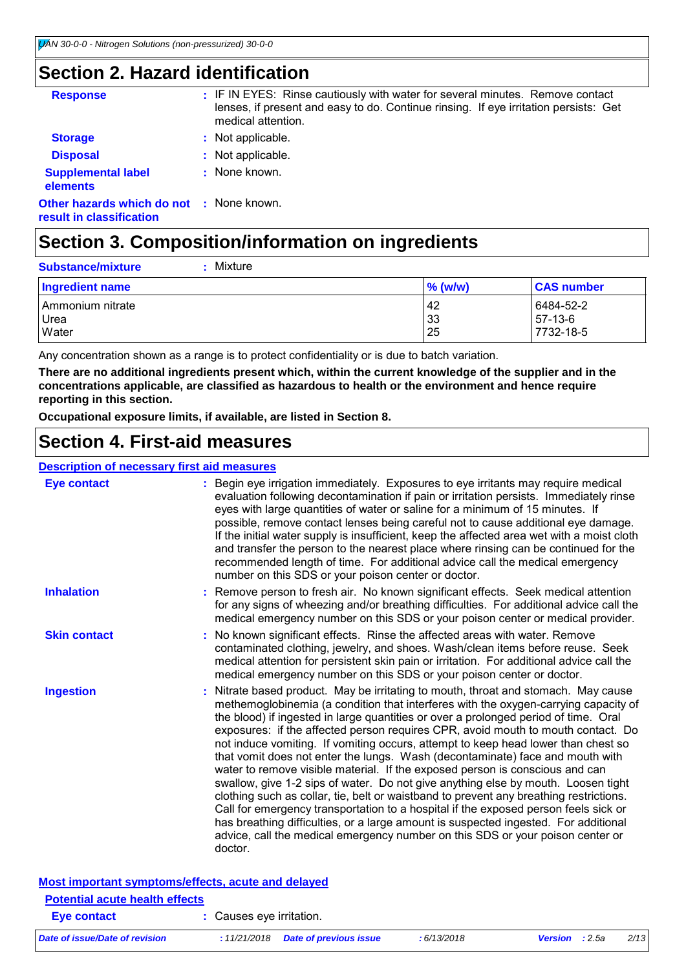## **Section 2. Hazard identification**

| <b>Response</b>                                                             | : IF IN EYES: Rinse cautiously with water for several minutes. Remove contact<br>lenses, if present and easy to do. Continue rinsing. If eye irritation persists: Get<br>medical attention. |
|-----------------------------------------------------------------------------|---------------------------------------------------------------------------------------------------------------------------------------------------------------------------------------------|
| <b>Storage</b>                                                              | : Not applicable.                                                                                                                                                                           |
| <b>Disposal</b>                                                             | : Not applicable.                                                                                                                                                                           |
| <b>Supplemental label</b><br>elements                                       | : None known.                                                                                                                                                                               |
| <b>Other hazards which do not : None known.</b><br>result in classification |                                                                                                                                                                                             |
|                                                                             |                                                                                                                                                                                             |

## **Section 3. Composition/information on ingredients**

| : Mixture<br><b>Substance/mixture</b> |                |                                     |
|---------------------------------------|----------------|-------------------------------------|
| Ingredient name                       | $%$ (w/w)      | <b>CAS number</b>                   |
| Ammonium nitrate<br>Urea<br>Water     | 42<br>33<br>25 | 6484-52-2<br>$57-13-6$<br>7732-18-5 |

Any concentration shown as a range is to protect confidentiality or is due to batch variation.

**There are no additional ingredients present which, within the current knowledge of the supplier and in the concentrations applicable, are classified as hazardous to health or the environment and hence require reporting in this section.**

**Occupational exposure limits, if available, are listed in Section 8.**

### **Section 4. First-aid measures**

#### **Description of necessary first aid measures**

| Eye contact                                        | : Begin eye irrigation immediately. Exposures to eye irritants may require medical<br>evaluation following decontamination if pain or irritation persists. Immediately rinse<br>eyes with large quantities of water or saline for a minimum of 15 minutes. If<br>possible, remove contact lenses being careful not to cause additional eye damage.<br>If the initial water supply is insufficient, keep the affected area wet with a moist cloth<br>and transfer the person to the nearest place where rinsing can be continued for the<br>recommended length of time. For additional advice call the medical emergency<br>number on this SDS or your poison center or doctor.                                                                                                                                                                                                                                                                                                                                                                                       |
|----------------------------------------------------|----------------------------------------------------------------------------------------------------------------------------------------------------------------------------------------------------------------------------------------------------------------------------------------------------------------------------------------------------------------------------------------------------------------------------------------------------------------------------------------------------------------------------------------------------------------------------------------------------------------------------------------------------------------------------------------------------------------------------------------------------------------------------------------------------------------------------------------------------------------------------------------------------------------------------------------------------------------------------------------------------------------------------------------------------------------------|
| <b>Inhalation</b>                                  | : Remove person to fresh air. No known significant effects. Seek medical attention<br>for any signs of wheezing and/or breathing difficulties. For additional advice call the<br>medical emergency number on this SDS or your poison center or medical provider.                                                                                                                                                                                                                                                                                                                                                                                                                                                                                                                                                                                                                                                                                                                                                                                                     |
| <b>Skin contact</b>                                | : No known significant effects. Rinse the affected areas with water. Remove<br>contaminated clothing, jewelry, and shoes. Wash/clean items before reuse. Seek<br>medical attention for persistent skin pain or irritation. For additional advice call the<br>medical emergency number on this SDS or your poison center or doctor.                                                                                                                                                                                                                                                                                                                                                                                                                                                                                                                                                                                                                                                                                                                                   |
| <b>Ingestion</b>                                   | : Nitrate based product. May be irritating to mouth, throat and stomach. May cause<br>methemoglobinemia (a condition that interferes with the oxygen-carrying capacity of<br>the blood) if ingested in large quantities or over a prolonged period of time. Oral<br>exposures: if the affected person requires CPR, avoid mouth to mouth contact. Do<br>not induce vomiting. If vomiting occurs, attempt to keep head lower than chest so<br>that vomit does not enter the lungs. Wash (decontaminate) face and mouth with<br>water to remove visible material. If the exposed person is conscious and can<br>swallow, give 1-2 sips of water. Do not give anything else by mouth. Loosen tight<br>clothing such as collar, tie, belt or waistband to prevent any breathing restrictions.<br>Call for emergency transportation to a hospital if the exposed person feels sick or<br>has breathing difficulties, or a large amount is suspected ingested. For additional<br>advice, call the medical emergency number on this SDS or your poison center or<br>doctor. |
| Most important symptoms/effects, acute and delayed |                                                                                                                                                                                                                                                                                                                                                                                                                                                                                                                                                                                                                                                                                                                                                                                                                                                                                                                                                                                                                                                                      |

| <u>moot important of inpromotorol abato and dolly ou</u><br><b>Potential acute health effects</b> |                                       |            |                       |      |
|---------------------------------------------------------------------------------------------------|---------------------------------------|------------|-----------------------|------|
|                                                                                                   |                                       |            |                       |      |
| Eye contact                                                                                       | : Causes eve irritation.              |            |                       |      |
| Date of issue/Date of revision                                                                    | $: 11/21/2018$ Date of previous issue | :6/13/2018 | <b>Version</b> : 2.5a | 2/13 |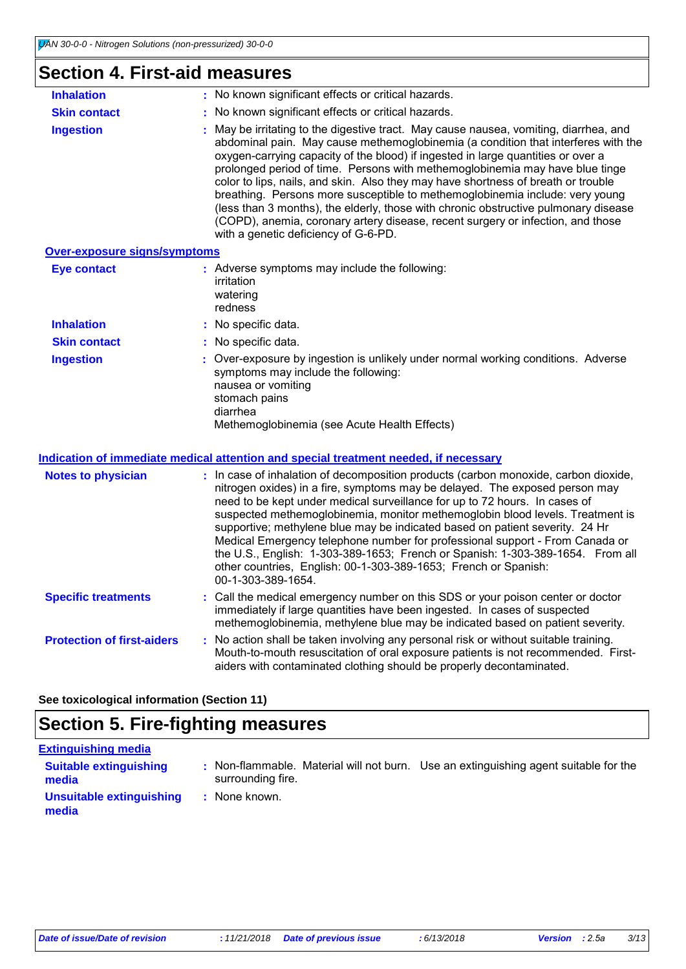### **Section 4. First-aid measures**

| <b>Inhalation</b>                   | : No known significant effects or critical hazards.                                                                                                                                                                                                                                                                                                                                                                                                                                                                                                                                                                                                                                                                                   |
|-------------------------------------|---------------------------------------------------------------------------------------------------------------------------------------------------------------------------------------------------------------------------------------------------------------------------------------------------------------------------------------------------------------------------------------------------------------------------------------------------------------------------------------------------------------------------------------------------------------------------------------------------------------------------------------------------------------------------------------------------------------------------------------|
| <b>Skin contact</b>                 | : No known significant effects or critical hazards.                                                                                                                                                                                                                                                                                                                                                                                                                                                                                                                                                                                                                                                                                   |
| <b>Ingestion</b>                    | : May be irritating to the digestive tract. May cause nausea, vomiting, diarrhea, and<br>abdominal pain. May cause methemoglobinemia (a condition that interferes with the<br>oxygen-carrying capacity of the blood) if ingested in large quantities or over a<br>prolonged period of time. Persons with methemoglobinemia may have blue tinge<br>color to lips, nails, and skin. Also they may have shortness of breath or trouble<br>breathing. Persons more susceptible to methemoglobinemia include: very young<br>(less than 3 months), the elderly, those with chronic obstructive pulmonary disease<br>(COPD), anemia, coronary artery disease, recent surgery or infection, and those<br>with a genetic deficiency of G-6-PD. |
| <b>Over-exposure signs/symptoms</b> |                                                                                                                                                                                                                                                                                                                                                                                                                                                                                                                                                                                                                                                                                                                                       |
| Eye contact                         | : Adverse symptoms may include the following:<br>irritation                                                                                                                                                                                                                                                                                                                                                                                                                                                                                                                                                                                                                                                                           |

|                     | watering<br>redness                                                                                                                                                                                                         |
|---------------------|-----------------------------------------------------------------------------------------------------------------------------------------------------------------------------------------------------------------------------|
| <b>Inhalation</b>   | : No specific data.                                                                                                                                                                                                         |
| <b>Skin contact</b> | : No specific data.                                                                                                                                                                                                         |
| <b>Ingestion</b>    | : Over-exposure by ingestion is unlikely under normal working conditions. Adverse<br>symptoms may include the following:<br>nausea or vomiting<br>stomach pains<br>diarrhea<br>Methemoglobinemia (see Acute Health Effects) |

#### **Indication of immediate medical attention and special treatment needed, if necessary**

| <b>Notes to physician</b>         | : In case of inhalation of decomposition products (carbon monoxide, carbon dioxide,<br>nitrogen oxides) in a fire, symptoms may be delayed. The exposed person may<br>need to be kept under medical surveillance for up to 72 hours. In cases of<br>suspected methemoglobinemia, monitor methemoglobin blood levels. Treatment is<br>supportive; methylene blue may be indicated based on patient severity. 24 Hr<br>Medical Emergency telephone number for professional support - From Canada or<br>the U.S., English: 1-303-389-1653; French or Spanish: 1-303-389-1654. From all<br>other countries, English: 00-1-303-389-1653; French or Spanish:<br>00-1-303-389-1654. |
|-----------------------------------|------------------------------------------------------------------------------------------------------------------------------------------------------------------------------------------------------------------------------------------------------------------------------------------------------------------------------------------------------------------------------------------------------------------------------------------------------------------------------------------------------------------------------------------------------------------------------------------------------------------------------------------------------------------------------|
| <b>Specific treatments</b>        | : Call the medical emergency number on this SDS or your poison center or doctor<br>immediately if large quantities have been ingested. In cases of suspected<br>methemoglobinemia, methylene blue may be indicated based on patient severity.                                                                                                                                                                                                                                                                                                                                                                                                                                |
| <b>Protection of first-aiders</b> | : No action shall be taken involving any personal risk or without suitable training.<br>Mouth-to-mouth resuscitation of oral exposure patients is not recommended. First-<br>aiders with contaminated clothing should be properly decontaminated.                                                                                                                                                                                                                                                                                                                                                                                                                            |

**See toxicological information (Section 11)**

### **Section 5. Fire-fighting measures**

| <b>Extinguishing media</b>             |                                                                                                           |  |
|----------------------------------------|-----------------------------------------------------------------------------------------------------------|--|
| <b>Suitable extinguishing</b><br>media | : Non-flammable. Material will not burn. Use an extinguishing agent suitable for the<br>surrounding fire. |  |
| Unsuitable extinguishing<br>media      | : None known.                                                                                             |  |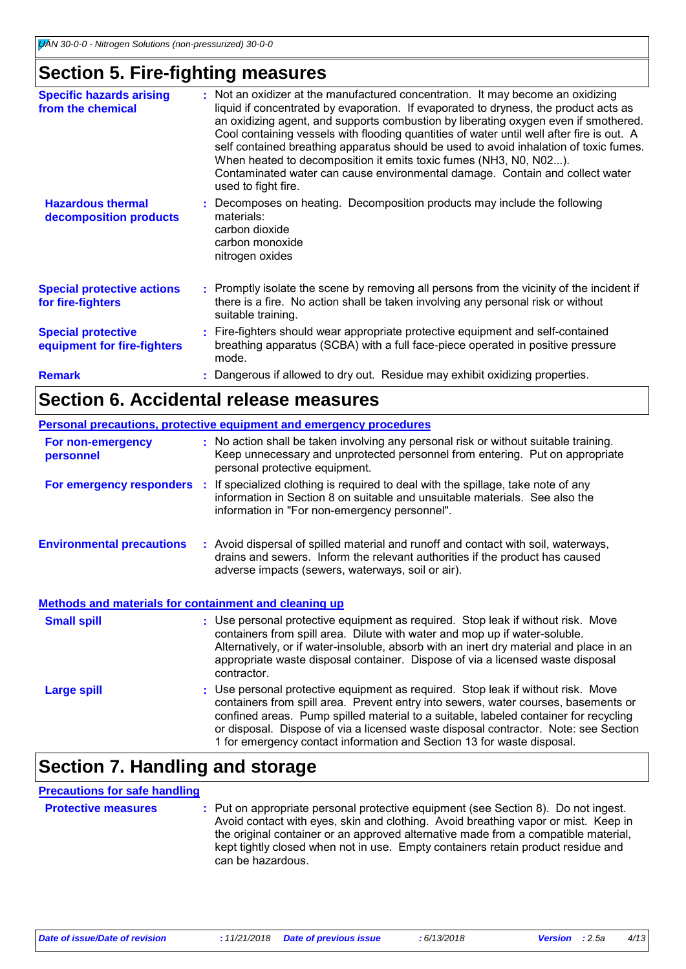### **Section 5. Fire-fighting measures**

| <b>Specific hazards arising</b><br>from the chemical     | : Not an oxidizer at the manufactured concentration. It may become an oxidizing<br>liquid if concentrated by evaporation. If evaporated to dryness, the product acts as<br>an oxidizing agent, and supports combustion by liberating oxygen even if smothered.<br>Cool containing vessels with flooding quantities of water until well after fire is out. A<br>self contained breathing apparatus should be used to avoid inhalation of toxic fumes.<br>When heated to decomposition it emits toxic fumes (NH3, N0, N02).<br>Contaminated water can cause environmental damage. Contain and collect water<br>used to fight fire. |
|----------------------------------------------------------|----------------------------------------------------------------------------------------------------------------------------------------------------------------------------------------------------------------------------------------------------------------------------------------------------------------------------------------------------------------------------------------------------------------------------------------------------------------------------------------------------------------------------------------------------------------------------------------------------------------------------------|
| <b>Hazardous thermal</b><br>decomposition products       | : Decomposes on heating. Decomposition products may include the following<br>materials:<br>carbon dioxide<br>carbon monoxide<br>nitrogen oxides                                                                                                                                                                                                                                                                                                                                                                                                                                                                                  |
| <b>Special protective actions</b><br>for fire-fighters   | : Promptly isolate the scene by removing all persons from the vicinity of the incident if<br>there is a fire. No action shall be taken involving any personal risk or without<br>suitable training.                                                                                                                                                                                                                                                                                                                                                                                                                              |
| <b>Special protective</b><br>equipment for fire-fighters | : Fire-fighters should wear appropriate protective equipment and self-contained<br>breathing apparatus (SCBA) with a full face-piece operated in positive pressure<br>mode.                                                                                                                                                                                                                                                                                                                                                                                                                                                      |
| <b>Remark</b>                                            | Dangerous if allowed to dry out. Residue may exhibit oxidizing properties.                                                                                                                                                                                                                                                                                                                                                                                                                                                                                                                                                       |

### **Section 6. Accidental release measures**

|                                                              | Personal precautions, protective equipment and emergency procedures                                                                                                                                                                                                                                                                                                                                                             |
|--------------------------------------------------------------|---------------------------------------------------------------------------------------------------------------------------------------------------------------------------------------------------------------------------------------------------------------------------------------------------------------------------------------------------------------------------------------------------------------------------------|
| For non-emergency<br>personnel                               | : No action shall be taken involving any personal risk or without suitable training.<br>Keep unnecessary and unprotected personnel from entering. Put on appropriate<br>personal protective equipment.                                                                                                                                                                                                                          |
|                                                              | For emergency responders : If specialized clothing is required to deal with the spillage, take note of any<br>information in Section 8 on suitable and unsuitable materials. See also the<br>information in "For non-emergency personnel".                                                                                                                                                                                      |
| <b>Environmental precautions</b>                             | : Avoid dispersal of spilled material and runoff and contact with soil, waterways,<br>drains and sewers. Inform the relevant authorities if the product has caused<br>adverse impacts (sewers, waterways, soil or air).                                                                                                                                                                                                         |
| <b>Methods and materials for containment and cleaning up</b> |                                                                                                                                                                                                                                                                                                                                                                                                                                 |
| <b>Small spill</b>                                           | : Use personal protective equipment as required. Stop leak if without risk. Move<br>containers from spill area. Dilute with water and mop up if water-soluble.<br>Alternatively, or if water-insoluble, absorb with an inert dry material and place in an<br>appropriate waste disposal container. Dispose of via a licensed waste disposal<br>contractor.                                                                      |
| <b>Large spill</b>                                           | : Use personal protective equipment as required. Stop leak if without risk. Move<br>containers from spill area. Prevent entry into sewers, water courses, basements or<br>confined areas. Pump spilled material to a suitable, labeled container for recycling<br>or disposal. Dispose of via a licensed waste disposal contractor. Note: see Section<br>1 for emergency contact information and Section 13 for waste disposal. |

### **Section 7. Handling and storage**

#### **Precautions for safe handling**

**Protective measures** : Put on appropriate personal protective equipment (see Section 8). Do not ingest. Avoid contact with eyes, skin and clothing. Avoid breathing vapor or mist. Keep in the original container or an approved alternative made from a compatible material, kept tightly closed when not in use. Empty containers retain product residue and can be hazardous.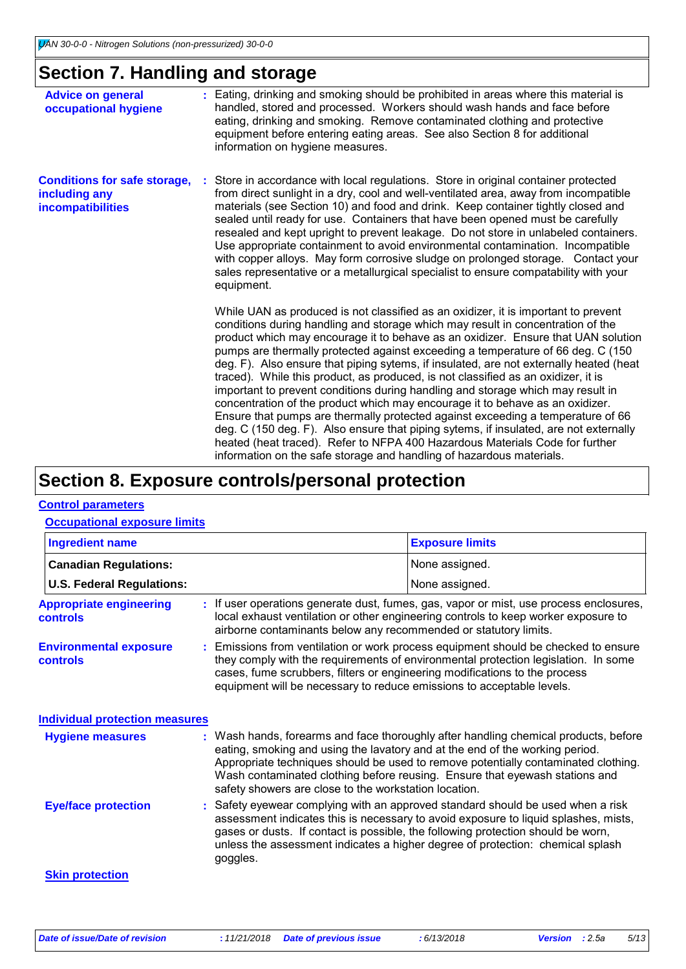### **Section 7. Handling and storage**

| <b>Advice on general</b><br>occupational hygiene                                 | : Eating, drinking and smoking should be prohibited in areas where this material is<br>handled, stored and processed. Workers should wash hands and face before<br>eating, drinking and smoking. Remove contaminated clothing and protective<br>equipment before entering eating areas. See also Section 8 for additional<br>information on hygiene measures.                                                                                                                                                                                                                                                                                                                                                                                                                                                                                                                                                                                                                                                                         |
|----------------------------------------------------------------------------------|---------------------------------------------------------------------------------------------------------------------------------------------------------------------------------------------------------------------------------------------------------------------------------------------------------------------------------------------------------------------------------------------------------------------------------------------------------------------------------------------------------------------------------------------------------------------------------------------------------------------------------------------------------------------------------------------------------------------------------------------------------------------------------------------------------------------------------------------------------------------------------------------------------------------------------------------------------------------------------------------------------------------------------------|
| <b>Conditions for safe storage,</b><br>including any<br><b>incompatibilities</b> | Store in accordance with local regulations. Store in original container protected<br>from direct sunlight in a dry, cool and well-ventilated area, away from incompatible<br>materials (see Section 10) and food and drink. Keep container tightly closed and<br>sealed until ready for use. Containers that have been opened must be carefully<br>resealed and kept upright to prevent leakage. Do not store in unlabeled containers.<br>Use appropriate containment to avoid environmental contamination. Incompatible<br>with copper alloys. May form corrosive sludge on prolonged storage. Contact your<br>sales representative or a metallurgical specialist to ensure compatability with your<br>equipment.                                                                                                                                                                                                                                                                                                                    |
|                                                                                  | While UAN as produced is not classified as an oxidizer, it is important to prevent<br>conditions during handling and storage which may result in concentration of the<br>product which may encourage it to behave as an oxidizer. Ensure that UAN solution<br>pumps are thermally protected against exceeding a temperature of 66 deg. C (150)<br>deg. F). Also ensure that piping sytems, if insulated, are not externally heated (heat<br>traced). While this product, as produced, is not classified as an oxidizer, it is<br>important to prevent conditions during handling and storage which may result in<br>concentration of the product which may encourage it to behave as an oxidizer.<br>Ensure that pumps are thermally protected against exceeding a temperature of 66<br>deg. C (150 deg. F). Also ensure that piping sytems, if insulated, are not externally<br>heated (heat traced). Refer to NFPA 400 Hazardous Materials Code for further<br>information on the safe storage and handling of hazardous materials. |

### **Section 8. Exposure controls/personal protection**

#### **Control parameters**

#### **Occupational exposure limits**

| <b>Ingredient name</b>                            |                                                                                                                                                                                                                                                                                                                                                          | <b>Exposure limits</b>                                                                                                                                                                                                                                                                                                                   |  |
|---------------------------------------------------|----------------------------------------------------------------------------------------------------------------------------------------------------------------------------------------------------------------------------------------------------------------------------------------------------------------------------------------------------------|------------------------------------------------------------------------------------------------------------------------------------------------------------------------------------------------------------------------------------------------------------------------------------------------------------------------------------------|--|
| <b>Canadian Regulations:</b>                      |                                                                                                                                                                                                                                                                                                                                                          | None assigned.                                                                                                                                                                                                                                                                                                                           |  |
| <b>U.S. Federal Regulations:</b>                  |                                                                                                                                                                                                                                                                                                                                                          | None assigned.                                                                                                                                                                                                                                                                                                                           |  |
| <b>Appropriate engineering</b><br><b>controls</b> | : If user operations generate dust, fumes, gas, vapor or mist, use process enclosures,<br>local exhaust ventilation or other engineering controls to keep worker exposure to<br>airborne contaminants below any recommended or statutory limits.                                                                                                         |                                                                                                                                                                                                                                                                                                                                          |  |
| <b>Environmental exposure</b><br><b>controls</b>  | : Emissions from ventilation or work process equipment should be checked to ensure<br>they comply with the requirements of environmental protection legislation. In some<br>cases, fume scrubbers, filters or engineering modifications to the process<br>equipment will be necessary to reduce emissions to acceptable levels.                          |                                                                                                                                                                                                                                                                                                                                          |  |
| <b>Individual protection measures</b>             |                                                                                                                                                                                                                                                                                                                                                          |                                                                                                                                                                                                                                                                                                                                          |  |
| <b>Hygiene measures</b>                           | safety showers are close to the workstation location.                                                                                                                                                                                                                                                                                                    | : Wash hands, forearms and face thoroughly after handling chemical products, before<br>eating, smoking and using the lavatory and at the end of the working period.<br>Appropriate techniques should be used to remove potentially contaminated clothing.<br>Wash contaminated clothing before reusing. Ensure that eyewash stations and |  |
| <b>Eye/face protection</b>                        | : Safety eyewear complying with an approved standard should be used when a risk<br>assessment indicates this is necessary to avoid exposure to liquid splashes, mists,<br>gases or dusts. If contact is possible, the following protection should be worn,<br>unless the assessment indicates a higher degree of protection: chemical splash<br>goggles. |                                                                                                                                                                                                                                                                                                                                          |  |
| <b>Skin protection</b>                            |                                                                                                                                                                                                                                                                                                                                                          |                                                                                                                                                                                                                                                                                                                                          |  |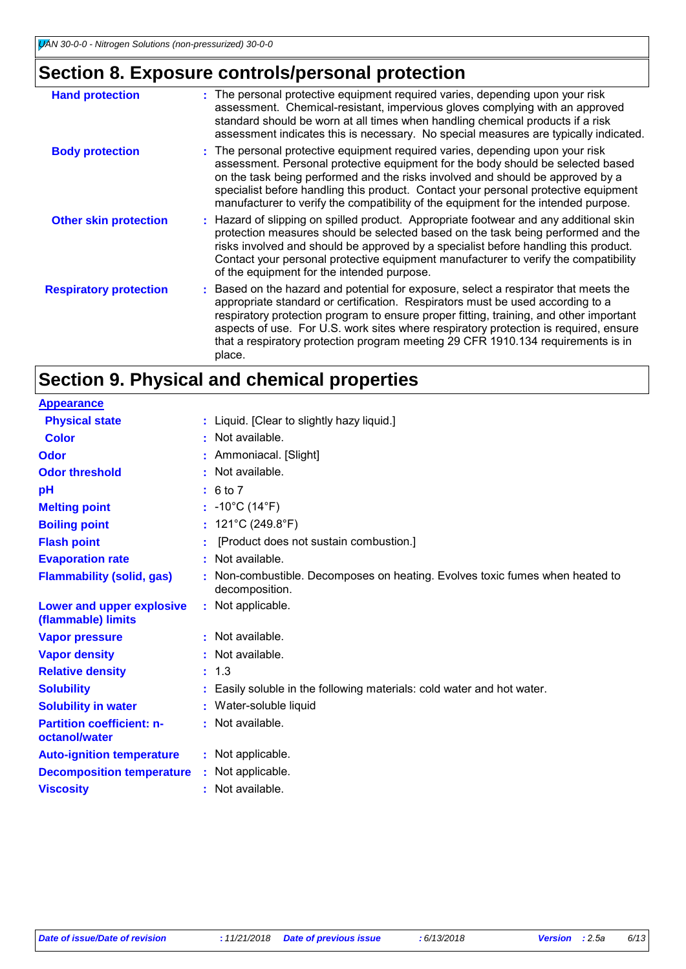## **Section 8. Exposure controls/personal protection**

| <b>Hand protection</b>        | : The personal protective equipment required varies, depending upon your risk<br>assessment. Chemical-resistant, impervious gloves complying with an approved<br>standard should be worn at all times when handling chemical products if a risk<br>assessment indicates this is necessary. No special measures are typically indicated.                                                                                                                |
|-------------------------------|--------------------------------------------------------------------------------------------------------------------------------------------------------------------------------------------------------------------------------------------------------------------------------------------------------------------------------------------------------------------------------------------------------------------------------------------------------|
| <b>Body protection</b>        | : The personal protective equipment required varies, depending upon your risk<br>assessment. Personal protective equipment for the body should be selected based<br>on the task being performed and the risks involved and should be approved by a<br>specialist before handling this product. Contact your personal protective equipment<br>manufacturer to verify the compatibility of the equipment for the intended purpose.                       |
| <b>Other skin protection</b>  | : Hazard of slipping on spilled product. Appropriate footwear and any additional skin<br>protection measures should be selected based on the task being performed and the<br>risks involved and should be approved by a specialist before handling this product.<br>Contact your personal protective equipment manufacturer to verify the compatibility<br>of the equipment for the intended purpose.                                                  |
| <b>Respiratory protection</b> | : Based on the hazard and potential for exposure, select a respirator that meets the<br>appropriate standard or certification. Respirators must be used according to a<br>respiratory protection program to ensure proper fitting, training, and other important<br>aspects of use. For U.S. work sites where respiratory protection is required, ensure<br>that a respiratory protection program meeting 29 CFR 1910.134 requirements is in<br>place. |

## **Section 9. Physical and chemical properties**

| <b>Appearance</b>                                 |    |                                                                                              |
|---------------------------------------------------|----|----------------------------------------------------------------------------------------------|
| <b>Physical state</b>                             |    | : Liquid. [Clear to slightly hazy liquid.]                                                   |
| <b>Color</b>                                      |    | : Not available.                                                                             |
| <b>Odor</b>                                       |    | : Ammoniacal. [Slight]                                                                       |
| <b>Odor threshold</b>                             |    | : Not available.                                                                             |
| pH                                                |    | : 6 to 7                                                                                     |
| <b>Melting point</b>                              |    | : $-10^{\circ}$ C (14 $^{\circ}$ F)                                                          |
| <b>Boiling point</b>                              |    | : $121^{\circ}$ C (249.8 $^{\circ}$ F)                                                       |
| <b>Flash point</b>                                |    | [Product does not sustain combustion.]                                                       |
| <b>Evaporation rate</b>                           |    | Not available.                                                                               |
| <b>Flammability (solid, gas)</b>                  |    | Non-combustible. Decomposes on heating. Evolves toxic fumes when heated to<br>decomposition. |
| Lower and upper explosive<br>(flammable) limits   | ÷. | Not applicable.                                                                              |
| <b>Vapor pressure</b>                             |    | : Not available.                                                                             |
| <b>Vapor density</b>                              |    | : Not available.                                                                             |
| <b>Relative density</b>                           |    | : 1.3                                                                                        |
| <b>Solubility</b>                                 |    | Easily soluble in the following materials: cold water and hot water.                         |
| <b>Solubility in water</b>                        |    | : Water-soluble liquid                                                                       |
| <b>Partition coefficient: n-</b><br>octanol/water |    | : Not available.                                                                             |
| <b>Auto-ignition temperature</b>                  |    | : Not applicable.                                                                            |
| <b>Decomposition temperature</b>                  |    | : Not applicable.                                                                            |
| <b>Viscosity</b>                                  |    | : Not available.                                                                             |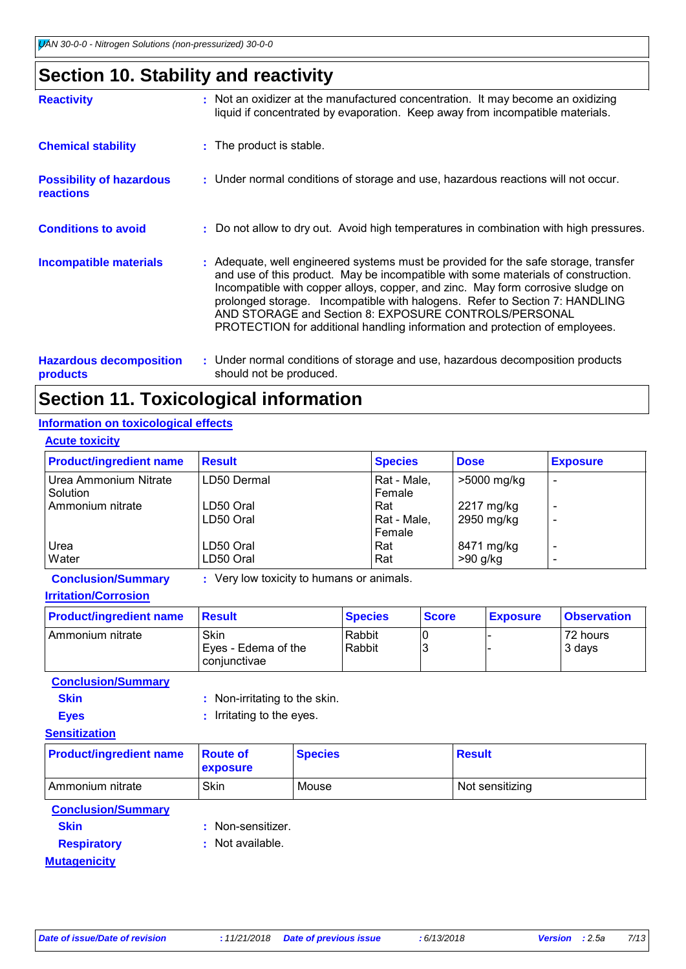## **Section 10. Stability and reactivity**

| <b>Reactivity</b>                                   | : Not an oxidizer at the manufactured concentration. It may become an oxidizing<br>liquid if concentrated by evaporation. Keep away from incompatible materials.                                                                                                                                                                                                                                                                                                                   |
|-----------------------------------------------------|------------------------------------------------------------------------------------------------------------------------------------------------------------------------------------------------------------------------------------------------------------------------------------------------------------------------------------------------------------------------------------------------------------------------------------------------------------------------------------|
| <b>Chemical stability</b>                           | : The product is stable.                                                                                                                                                                                                                                                                                                                                                                                                                                                           |
| <b>Possibility of hazardous</b><br><b>reactions</b> | : Under normal conditions of storage and use, hazardous reactions will not occur.                                                                                                                                                                                                                                                                                                                                                                                                  |
| <b>Conditions to avoid</b>                          | : Do not allow to dry out. Avoid high temperatures in combination with high pressures.                                                                                                                                                                                                                                                                                                                                                                                             |
| <b>Incompatible materials</b>                       | : Adequate, well engineered systems must be provided for the safe storage, transfer<br>and use of this product. May be incompatible with some materials of construction.<br>Incompatible with copper alloys, copper, and zinc. May form corrosive sludge on<br>prolonged storage. Incompatible with halogens. Refer to Section 7: HANDLING<br>AND STORAGE and Section 8: EXPOSURE CONTROLS/PERSONAL<br>PROTECTION for additional handling information and protection of employees. |
| <b>Hazardous decomposition</b><br><b>products</b>   | : Under normal conditions of storage and use, hazardous decomposition products<br>should not be produced.                                                                                                                                                                                                                                                                                                                                                                          |

## **Section 11. Toxicological information**

#### **Acute toxicity Information on toxicological effects**

| <b>Acute toxicity</b>             |                        |                              |                          |                                                          |
|-----------------------------------|------------------------|------------------------------|--------------------------|----------------------------------------------------------|
| <b>Product/ingredient name</b>    | <b>Result</b>          | <b>Species</b>               | <b>Dose</b>              | <b>Exposure</b>                                          |
| Urea Ammonium Nitrate<br>Solution | LD50 Dermal            | Rat - Male,<br>l Female      | >5000 mg/kg              | ÷                                                        |
| Ammonium nitrate                  | LD50 Oral<br>LD50 Oral | Rat<br>Rat - Male,<br>Female | 2217 mg/kg<br>2950 mg/kg | $\overline{\phantom{0}}$<br>-                            |
| Urea<br><b>Water</b>              | LD50 Oral<br>LD50 Oral | Rat<br>Rat                   | 8471 mg/kg<br>$>90$ g/kg | $\overline{\phantom{a}}$<br>$\qquad \qquad \blacksquare$ |

**Conclusion/Summary :** Very low toxicity to humans or animals.

**Irritation/Corrosion**

| <b>Product/ingredient name</b> | <b>Result</b>                               | <b>Species</b>   | <b>Score</b> | <b>Exposure</b> | <b>Observation</b> |
|--------------------------------|---------------------------------------------|------------------|--------------|-----------------|--------------------|
| l Ammonium nitrate             | Skin<br>Eyes - Edema of the<br>coniunctivae | Rabbit<br>Rabbit |              |                 | 72 hours<br>3 days |

**Conclusion/Summary**

| <b>Skin</b> | : Non-irritating to the skin. |
|-------------|-------------------------------|
| <b>Eyes</b> | : Irritating to the eyes.     |

#### **Sensitization**

| <b>Product/ingredient name</b> | <b>Route of</b><br><b>exposure</b> | <b>Species</b> | Result          |
|--------------------------------|------------------------------------|----------------|-----------------|
| l Ammonium nitrate             | Skin                               | Mouse          | Not sensitizing |

#### **Conclusion/Summary**

- 
- **Skin** : Non-sensitizer.
- **Respiratory :** Not available.

#### **Mutagenicity**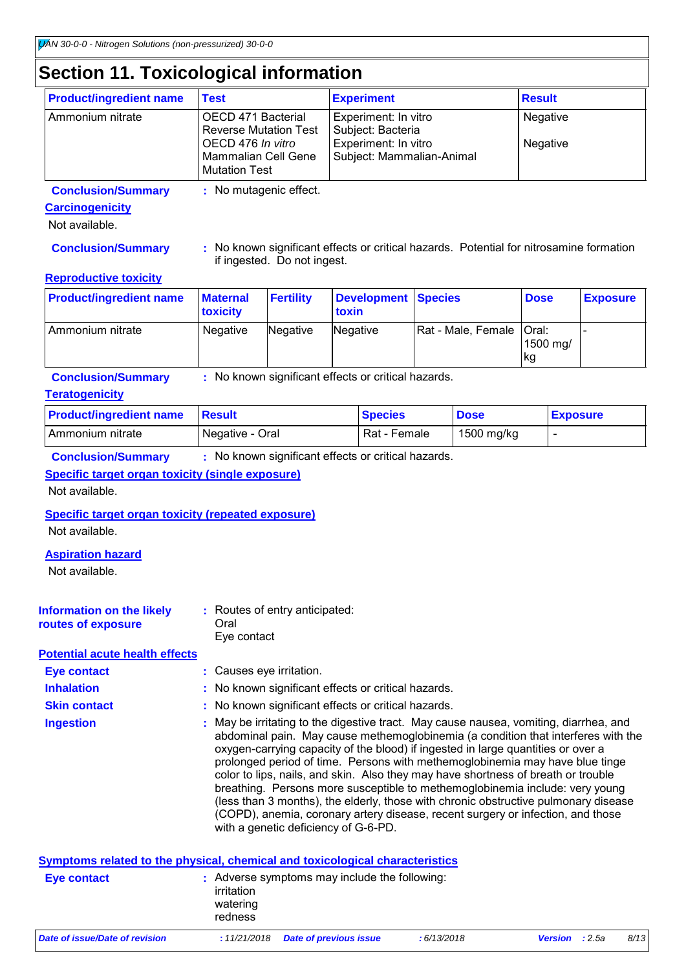## **Section 11. Toxicological information**

| <b>Product/ingredient name</b> | <b>Test</b>                                                                                                                   | <b>Experiment</b>                                                                              | <b>Result</b>        |
|--------------------------------|-------------------------------------------------------------------------------------------------------------------------------|------------------------------------------------------------------------------------------------|----------------------|
| Ammonium nitrate               | OECD 471 Bacterial<br><b>Reverse Mutation Test</b><br>OECD 476 In vitro<br><b>Mammalian Cell Gene</b><br><b>Mutation Test</b> | Experiment: In vitro<br>Subject: Bacteria<br>Experiment: In vitro<br>Subject: Mammalian-Animal | Negative<br>Negative |

**Conclusion/Summary :** No mutagenic effect.

#### **Carcinogenicity**

Not available.

**Conclusion/Summary :** No known significant effects or critical hazards. Potential for nitrosamine formation if ingested. Do not ingest.

#### **Reproductive toxicity**

| <b>Product/ingredient name</b> | <b>Maternal</b><br><b>toxicity</b> | <b>Fertility</b> | Development Species<br>toxin |                            | <b>Dose</b>     | <b>Exposure</b> |
|--------------------------------|------------------------------------|------------------|------------------------------|----------------------------|-----------------|-----------------|
| I Ammonium nitrate             | Negative                           | Negative         | Negative                     | Rat - Male, Female   Oral: | 1500 mg/<br> kg |                 |

**Conclusion/Summary :** No known significant effects or critical hazards.

#### **Teratogenicity**

| <b>Product/ingredient name</b> | ⊟Result         | <b>Species</b> | <b>Dose</b> | <b>Exposure</b> |
|--------------------------------|-----------------|----------------|-------------|-----------------|
| l Ammonium nitrate             | Negative - Oral | Rat - Female   | 1500 mg/kg  |                 |

**Conclusion/Summary :** No known significant effects or critical hazards.

#### **Specific target organ toxicity (single exposure)**

Not available.

#### **Specific target organ toxicity (repeated exposure)**

Not available.

#### **Aspiration hazard**

Not available.

| Oral<br>routes of exposure<br>Eve contact |
|-------------------------------------------|
|-------------------------------------------|

**Potential acute health effects**

**Eye contact :** Causes eye irritation.

**Inhalation : No known significant effects or critical hazards.** 

**Skin contact :** No known significant effects or critical hazards.

May be irritating to the digestive tract. May cause nausea, vomiting, diarrhea, and abdominal pain. May cause methemoglobinemia (a condition that interferes with the oxygen-carrying capacity of the blood) if ingested in large quantities or over a prolonged period of time. Persons with methemoglobinemia may have blue tinge color to lips, nails, and skin. Also they may have shortness of breath or trouble breathing. Persons more susceptible to methemoglobinemia include: very young (less than 3 months), the elderly, those with chronic obstructive pulmonary disease (COPD), anemia, coronary artery disease, recent surgery or infection, and those with a genetic deficiency of G-6-PD. **Ingestion :**

|                                | Symptoms related to the physical, chemical and toxicological characteristics       |            |                       |      |
|--------------------------------|------------------------------------------------------------------------------------|------------|-----------------------|------|
| Eye contact                    | : Adverse symptoms may include the following:<br>irritation<br>watering<br>redness |            |                       |      |
| Date of issue/Date of revision | <b>Date of previous issue</b><br>:11/21/2018                                       | :6/13/2018 | <b>Version</b> : 2.5a | 8/13 |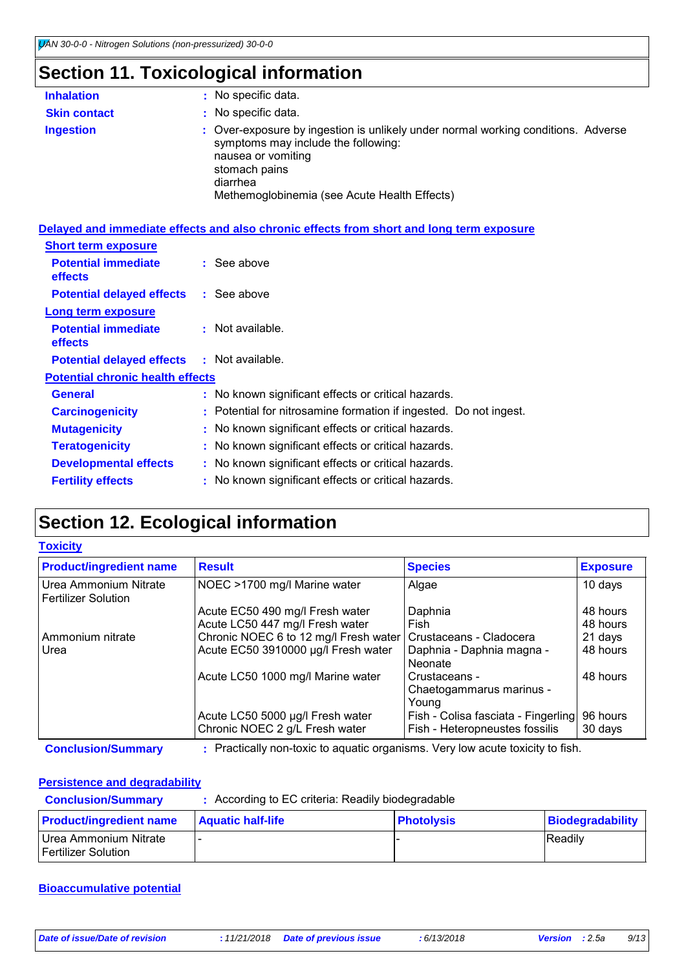## **Section 11. Toxicological information**

| <b>Inhalation</b>   | : No specific data.                                                                                                                                                                                                         |
|---------------------|-----------------------------------------------------------------------------------------------------------------------------------------------------------------------------------------------------------------------------|
| <b>Skin contact</b> | : No specific data.                                                                                                                                                                                                         |
| <b>Ingestion</b>    | : Over-exposure by ingestion is unlikely under normal working conditions. Adverse<br>symptoms may include the following:<br>nausea or vomiting<br>stomach pains<br>diarrhea<br>Methemoglobinemia (see Acute Health Effects) |

|                                              | Delayed and immediate effects and also chronic effects from short and long term exposure |
|----------------------------------------------|------------------------------------------------------------------------------------------|
| <b>Short term exposure</b>                   |                                                                                          |
| <b>Potential immediate</b><br><b>effects</b> | $\therefore$ See above                                                                   |
| <b>Potential delayed effects : See above</b> |                                                                                          |
| Long term exposure                           |                                                                                          |
| <b>Potential immediate</b><br><b>effects</b> | $:$ Not available.                                                                       |
| <b>Potential delayed effects</b>             | $\therefore$ Not available.                                                              |
| <b>Potential chronic health effects</b>      |                                                                                          |
| <b>General</b>                               | : No known significant effects or critical hazards.                                      |
| <b>Carcinogenicity</b>                       | : Potential for nitrosamine formation if ingested. Do not ingest.                        |
| <b>Mutagenicity</b>                          | : No known significant effects or critical hazards.                                      |
| <b>Teratogenicity</b>                        | : No known significant effects or critical hazards.                                      |
| <b>Developmental effects</b>                 | : No known significant effects or critical hazards.                                      |
| <b>Fertility effects</b>                     | : No known significant effects or critical hazards.                                      |

## **Section 12. Ecological information**

#### **Toxicity**

| <b>Product/ingredient name</b>                      | <b>Result</b>                         | <b>Species</b>                      | <b>Exposure</b> |
|-----------------------------------------------------|---------------------------------------|-------------------------------------|-----------------|
| Urea Ammonium Nitrate<br><b>Fertilizer Solution</b> | NOEC >1700 mg/l Marine water          | Algae                               | 10 days         |
|                                                     | Acute EC50 490 mg/l Fresh water       | Daphnia                             | 48 hours        |
|                                                     | Acute LC50 447 mg/l Fresh water       | Fish                                | 48 hours        |
| Ammonium nitrate                                    | Chronic NOEC 6 to 12 mg/l Fresh water | Crustaceans - Cladocera             | 21 days         |
| Urea                                                | Acute EC50 3910000 µg/l Fresh water   | Daphnia - Daphnia magna -           | 48 hours        |
|                                                     |                                       | Neonate                             |                 |
|                                                     | Acute LC50 1000 mg/l Marine water     | Crustaceans -                       | 48 hours        |
|                                                     |                                       | Chaetogammarus marinus -            |                 |
|                                                     |                                       | Young                               |                 |
|                                                     | Acute LC50 5000 µg/l Fresh water      | Fish - Colisa fasciata - Fingerling | 96 hours        |
|                                                     | Chronic NOEC 2 g/L Fresh water        | Fish - Heteropneustes fossilis      | 30 days         |

**Conclusion/Summary :** Practically non-toxic to aquatic organisms. Very low acute toxicity to fish.

#### **Persistence and degradability**

| <b>Conclusion/Summary</b>                    | : According to EC criteria: Readily biodegradable |                   |                  |  |  |
|----------------------------------------------|---------------------------------------------------|-------------------|------------------|--|--|
| <b>Product/ingredient name</b>               | <b>Aquatic half-life</b>                          | <b>Photolysis</b> | Biodegradability |  |  |
| Urea Ammonium Nitrate<br>Fertilizer Solution |                                                   |                   | Readily          |  |  |

#### **Bioaccumulative potential**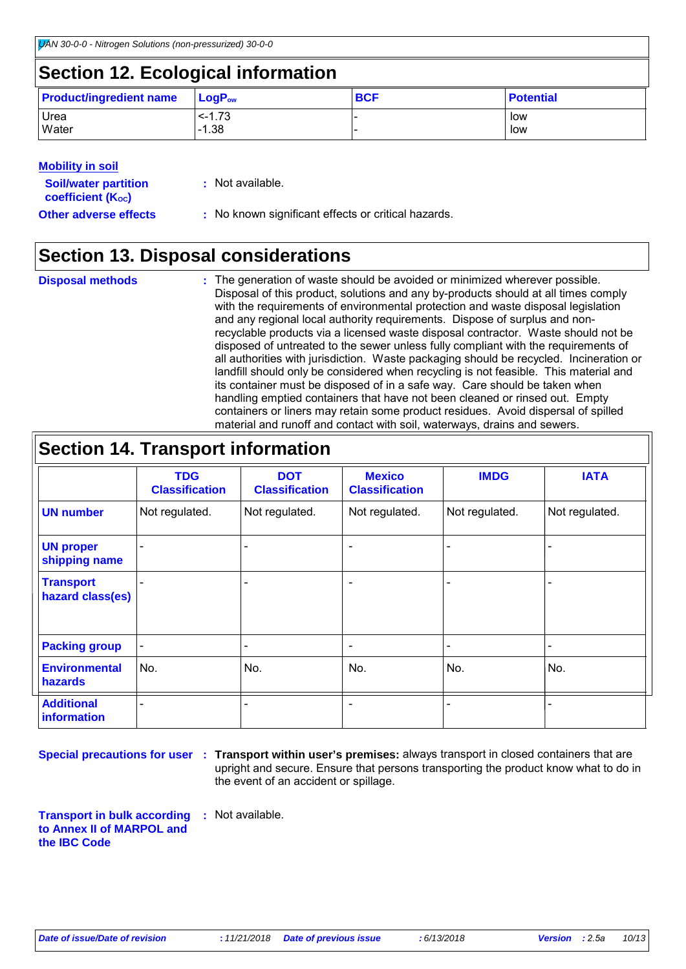### **Section 12. Ecological information**

| <b>Product/ingredient name</b> | $\mathsf{LogP}_\mathsf{ow}$ | <b>BCF</b> | <b>Potential</b> |
|--------------------------------|-----------------------------|------------|------------------|
| Urea                           | $< -1.73$                   |            | low              |
| Water                          | $-1.38$                     |            | low              |

#### **Mobility in soil**

| <b>Soil/water partition</b><br>coefficient (K <sub>oc</sub> ) | : Not available.                                    |
|---------------------------------------------------------------|-----------------------------------------------------|
| <b>Other adverse effects</b>                                  | : No known significant effects or critical hazards. |

## **Section 13. Disposal considerations**

| <b>Disposal methods</b> | : The generation of waste should be avoided or minimized wherever possible.            |
|-------------------------|----------------------------------------------------------------------------------------|
|                         | Disposal of this product, solutions and any by-products should at all times comply     |
|                         | with the requirements of environmental protection and waste disposal legislation       |
|                         | and any regional local authority requirements. Dispose of surplus and non-             |
|                         | recyclable products via a licensed waste disposal contractor. Waste should not be      |
|                         | disposed of untreated to the sewer unless fully compliant with the requirements of     |
|                         | all authorities with jurisdiction. Waste packaging should be recycled. Incineration or |
|                         | landfill should only be considered when recycling is not feasible. This material and   |
|                         | its container must be disposed of in a safe way. Care should be taken when             |
|                         | handling emptied containers that have not been cleaned or rinsed out. Empty            |
|                         | containers or liners may retain some product residues. Avoid dispersal of spilled      |
|                         | material and runoff and contact with soil, waterways, drains and sewers.               |

| <b>Section 14. Transport information</b> |                                     |                                     |                                        |                |                |
|------------------------------------------|-------------------------------------|-------------------------------------|----------------------------------------|----------------|----------------|
|                                          | <b>TDG</b><br><b>Classification</b> | <b>DOT</b><br><b>Classification</b> | <b>Mexico</b><br><b>Classification</b> | <b>IMDG</b>    | <b>IATA</b>    |
| <b>UN number</b>                         | Not regulated.                      | Not regulated.                      | Not regulated.                         | Not regulated. | Not regulated. |
| <b>UN proper</b><br>shipping name        |                                     |                                     | $\overline{\phantom{0}}$               |                |                |
| <b>Transport</b><br>hazard class(es)     |                                     |                                     | $\qquad \qquad$                        |                |                |
| <b>Packing group</b>                     |                                     |                                     | $\qquad \qquad$                        |                |                |
| <b>Environmental</b><br><b>hazards</b>   | No.                                 | No.                                 | No.                                    | No.            | No.            |
| <b>Additional</b><br><b>information</b>  |                                     |                                     | $\overline{\phantom{0}}$               |                | $\blacksquare$ |

**Special precautions for user** : Transport within user's premises: always transport in closed containers that are upright and secure. Ensure that persons transporting the product know what to do in the event of an accident or spillage.

**Transport in bulk according to Annex II of MARPOL and the IBC Code :** Not available.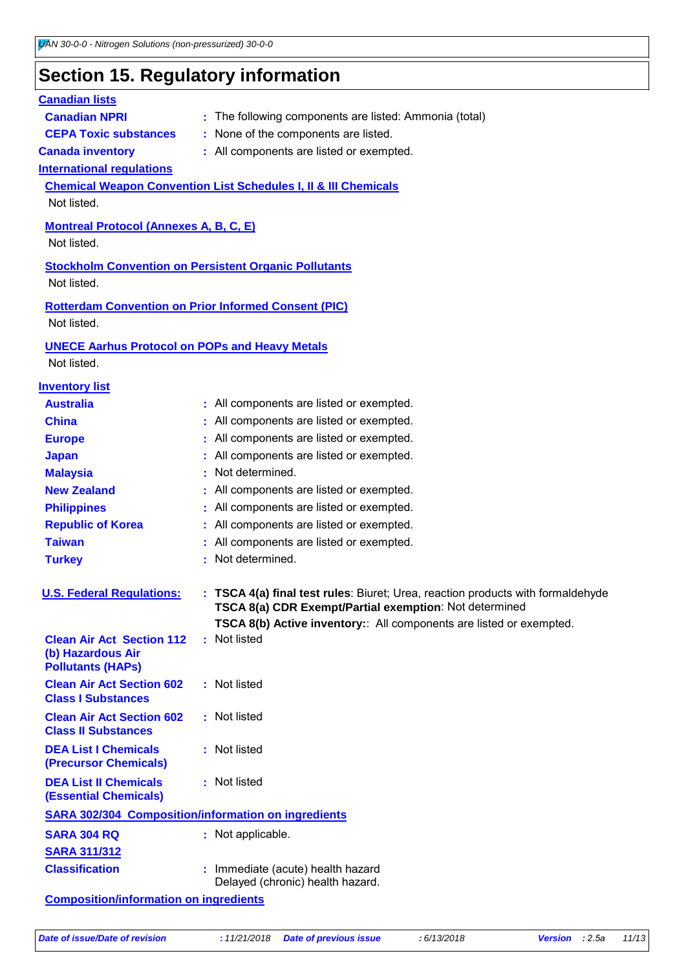### **Section 15. Regulatory information**

#### **International regulations Montreal Protocol (Annexes A, B, C, E)** Not listed. **Stockholm Convention on Persistent Organic Pollutants** Not listed. **Rotterdam Convention on Prior Informed Consent (PIC)** Not listed. **Chemical Weapon Convention List Schedules I, II & III Chemicals** Not listed. **UNECE Aarhus Protocol on POPs and Heavy Metals** Not listed. **Inventory list Australia :** All components are listed or exempted. **Canada inventory :** All components are listed or exempted. **China** : All components are listed or exempted. **Europe** : All components are listed or exempted. **Japan :** All components are listed or exempted. **Republic of Korea :** All components are listed or exempted. **Malaysia :** Not determined. **New Zealand :** All components are listed or exempted. **Philippines :** All components are listed or exempted. **Taiwan :** All components are listed or exempted. **Canadian lists Canadian NPRI** : The following components are listed: Ammonia (total) **CEPA Toxic substances :** None of the components are listed. **Turkey : Not determined. U. S. Federal Regulations: : TSCA 4(a) final test rules**: Biuret; Urea, reaction products with formaldehyde **TSCA 8(a) CDR Exempt/Partial exemption**: Not determined **TSCA 8(b) Active inventory:**: All components are listed or exempted. **Clean Air Act Section 112 (b) Hazardous Air Pollutants (HAPs) :** Not listed **Clean Air Act Section 602 Class I Substances :** Not listed **Clean Air Act Section 602 Class II Substances :** Not listed **DEA List I Chemicals (Precursor Chemicals) :** Not listed **DEA List II Chemicals (Essential Chemicals) :** Not listed **SARA 302/304 Composition/information on ingredients SARA 304 RQ :** Not applicable.

- **SARA 311/312 Classification :** Immediate (acute) health hazard Delayed (chronic) health hazard.
- **Composition/information on ingredients**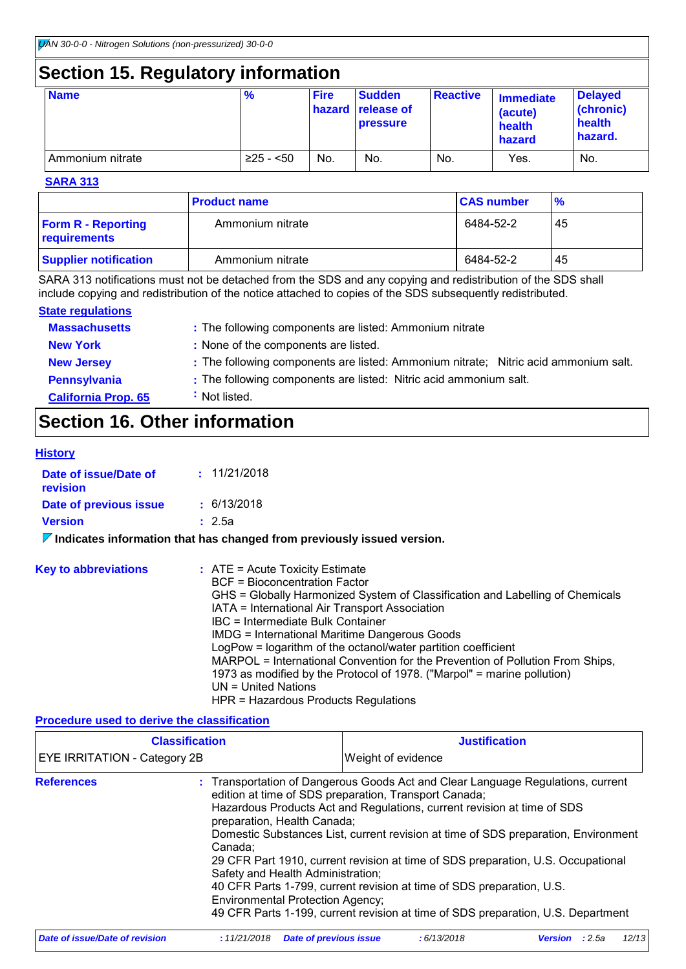## **Section 15. Regulatory information**

| <b>Name</b>      | $\frac{9}{6}$ | <b>Fire</b> | <b>Sudden</b><br><b>hazard</b> release of<br><b>pressure</b> | <b>Reactive</b> | <b>Immediate</b><br>(acute)<br>health<br>hazard | <b>Delayed</b><br>(chronic)<br>health<br>hazard. |
|------------------|---------------|-------------|--------------------------------------------------------------|-----------------|-------------------------------------------------|--------------------------------------------------|
| Ammonium nitrate | $≥25 - 50$    | No.         | No.                                                          | No.             | Yes.                                            | No.                                              |

#### **SARA 313**

|                                           | <b>Product name</b> | <b>CAS number</b> | $\frac{9}{6}$ |
|-------------------------------------------|---------------------|-------------------|---------------|
| <b>Form R - Reporting</b><br>requirements | Ammonium nitrate    | 6484-52-2         | 45            |
| <b>Supplier notification</b>              | Ammonium nitrate    | 6484-52-2         | 45            |

SARA 313 notifications must not be detached from the SDS and any copying and redistribution of the SDS shall include copying and redistribution of the notice attached to copies of the SDS subsequently redistributed.

#### **State regulations**

| <b>Massachusetts</b>       | : The following components are listed: Ammonium nitrate                             |
|----------------------------|-------------------------------------------------------------------------------------|
| <b>New York</b>            | : None of the components are listed.                                                |
| <b>New Jersey</b>          | : The following components are listed: Ammonium nitrate; Nitric acid ammonium salt. |
| Pennsylvania               | : The following components are listed: Nitric acid ammonium salt.                   |
| <b>California Prop. 65</b> | Not listed.                                                                         |

### **Section 16. Other information**

#### **History**

| Date of issue/Date of<br>revision | : 11/21/2018 |
|-----------------------------------|--------------|
| Date of previous issue            | : 6/13/2018  |
| <b>Version</b>                    | : 2.5a       |
|                                   |              |

**Indicates information that has changed from previously issued version.**

| <b>Key to abbreviations</b> | $:$ ATE = Acute Toxicity Estimate<br><b>BCF</b> = Bioconcentration Factor<br>GHS = Globally Harmonized System of Classification and Labelling of Chemicals<br>IATA = International Air Transport Association<br>IBC = Intermediate Bulk Container<br>IMDG = International Maritime Dangerous Goods<br>LogPow = logarithm of the octanol/water partition coefficient<br>MARPOL = International Convention for the Prevention of Pollution From Ships,<br>1973 as modified by the Protocol of 1978. ("Marpol" = marine pollution) |
|-----------------------------|---------------------------------------------------------------------------------------------------------------------------------------------------------------------------------------------------------------------------------------------------------------------------------------------------------------------------------------------------------------------------------------------------------------------------------------------------------------------------------------------------------------------------------|
|                             | UN = United Nations<br>HPR = Hazardous Products Regulations                                                                                                                                                                                                                                                                                                                                                                                                                                                                     |

#### **Procedure used to derive the classification**

|                                       | <b>Classification</b>                                                                                                                                                                                                                                                                                                                                                                                                                                                                                                                                                                                                                                                                |                               | <b>Justification</b> |                       |  |       |
|---------------------------------------|--------------------------------------------------------------------------------------------------------------------------------------------------------------------------------------------------------------------------------------------------------------------------------------------------------------------------------------------------------------------------------------------------------------------------------------------------------------------------------------------------------------------------------------------------------------------------------------------------------------------------------------------------------------------------------------|-------------------------------|----------------------|-----------------------|--|-------|
| EYE IRRITATION - Category 2B          |                                                                                                                                                                                                                                                                                                                                                                                                                                                                                                                                                                                                                                                                                      |                               | Weight of evidence   |                       |  |       |
| <b>References</b>                     | : Transportation of Dangerous Goods Act and Clear Language Regulations, current<br>edition at time of SDS preparation, Transport Canada;<br>Hazardous Products Act and Regulations, current revision at time of SDS<br>preparation, Health Canada;<br>Domestic Substances List, current revision at time of SDS preparation, Environment<br>Canada:<br>29 CFR Part 1910, current revision at time of SDS preparation, U.S. Occupational<br>Safety and Health Administration;<br>40 CFR Parts 1-799, current revision at time of SDS preparation, U.S.<br><b>Environmental Protection Agency;</b><br>49 CFR Parts 1-199, current revision at time of SDS preparation, U.S. Department |                               |                      |                       |  |       |
| <b>Date of issue/Date of revision</b> | : 11/21/2018                                                                                                                                                                                                                                                                                                                                                                                                                                                                                                                                                                                                                                                                         | <b>Date of previous issue</b> | :6/13/2018           | <b>Version</b> : 2.5a |  | 12/13 |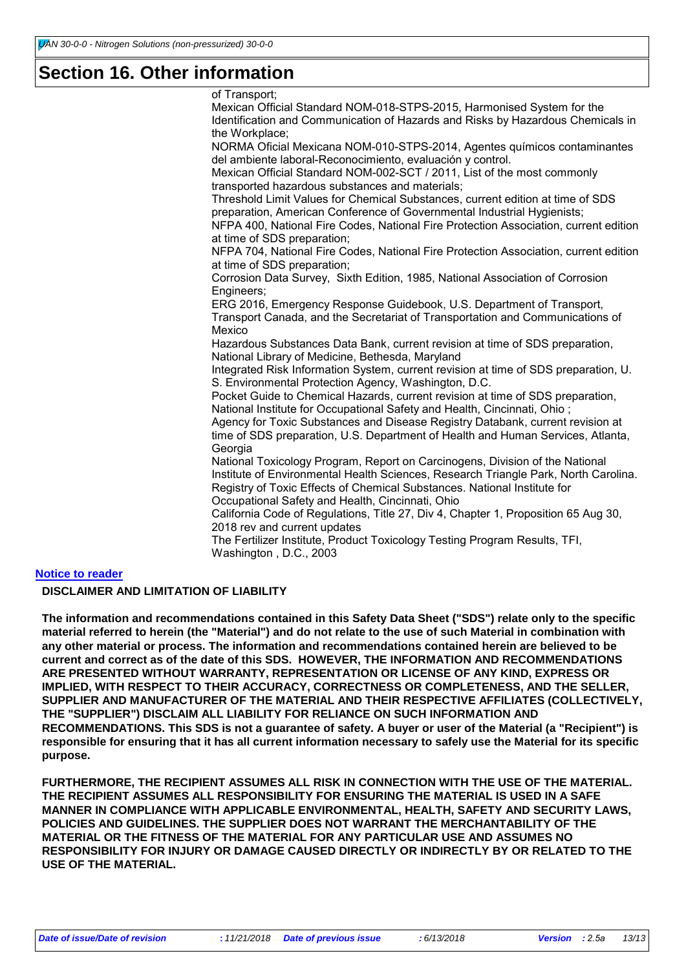### **Section 16. Other information**

of Transport; Mexican Official Standard NOM-018-STPS-2015, Harmonised System for the Identification and Communication of Hazards and Risks by Hazardous Chemicals in the Workplace; NORMA Oficial Mexicana NOM-010-STPS-2014, Agentes químicos contaminantes del ambiente laboral-Reconocimiento, evaluación y control. Mexican Official Standard NOM-002-SCT / 2011, List of the most commonly transported hazardous substances and materials; Threshold Limit Values for Chemical Substances, current edition at time of SDS preparation, American Conference of Governmental Industrial Hygienists; NFPA 400, National Fire Codes, National Fire Protection Association, current edition at time of SDS preparation; NFPA 704, National Fire Codes, National Fire Protection Association, current edition at time of SDS preparation; Corrosion Data Survey, Sixth Edition, 1985, National Association of Corrosion Engineers; ERG 2016, Emergency Response Guidebook, U.S. Department of Transport, Transport Canada, and the Secretariat of Transportation and Communications of Mexico Hazardous Substances Data Bank, current revision at time of SDS preparation, National Library of Medicine, Bethesda, Maryland Integrated Risk Information System, current revision at time of SDS preparation, U. S. Environmental Protection Agency, Washington, D.C. Pocket Guide to Chemical Hazards, current revision at time of SDS preparation, National Institute for Occupational Safety and Health, Cincinnati, Ohio ; Agency for Toxic Substances and Disease Registry Databank, current revision at time of SDS preparation, U.S. Department of Health and Human Services, Atlanta, **Georgia** National Toxicology Program, Report on Carcinogens, Division of the National Institute of Environmental Health Sciences, Research Triangle Park, North Carolina. Registry of Toxic Effects of Chemical Substances. National Institute for Occupational Safety and Health, Cincinnati, Ohio California Code of Regulations, Title 27, Div 4, Chapter 1, Proposition 65 Aug 30, 2018 rev and current updates The Fertilizer Institute, Product Toxicology Testing Program Results, TFI, Washington , D.C., 2003

#### **Notice to reader**

#### **DISCLAIMER AND LIMITATION OF LIABILITY**

**The information and recommendations contained in this Safety Data Sheet ("SDS") relate only to the specific material referred to herein (the "Material") and do not relate to the use of such Material in combination with any other material or process. The information and recommendations contained herein are believed to be current and correct as of the date of this SDS. HOWEVER, THE INFORMATION AND RECOMMENDATIONS ARE PRESENTED WITHOUT WARRANTY, REPRESENTATION OR LICENSE OF ANY KIND, EXPRESS OR IMPLIED, WITH RESPECT TO THEIR ACCURACY, CORRECTNESS OR COMPLETENESS, AND THE SELLER, SUPPLIER AND MANUFACTURER OF THE MATERIAL AND THEIR RESPECTIVE AFFILIATES (COLLECTIVELY, THE "SUPPLIER") DISCLAIM ALL LIABILITY FOR RELIANCE ON SUCH INFORMATION AND RECOMMENDATIONS. This SDS is not a guarantee of safety. A buyer or user of the Material (a "Recipient") is responsible for ensuring that it has all current information necessary to safely use the Material for its specific purpose.**

**FURTHERMORE, THE RECIPIENT ASSUMES ALL RISK IN CONNECTION WITH THE USE OF THE MATERIAL. THE RECIPIENT ASSUMES ALL RESPONSIBILITY FOR ENSURING THE MATERIAL IS USED IN A SAFE MANNER IN COMPLIANCE WITH APPLICABLE ENVIRONMENTAL, HEALTH, SAFETY AND SECURITY LAWS, POLICIES AND GUIDELINES. THE SUPPLIER DOES NOT WARRANT THE MERCHANTABILITY OF THE MATERIAL OR THE FITNESS OF THE MATERIAL FOR ANY PARTICULAR USE AND ASSUMES NO RESPONSIBILITY FOR INJURY OR DAMAGE CAUSED DIRECTLY OR INDIRECTLY BY OR RELATED TO THE USE OF THE MATERIAL.**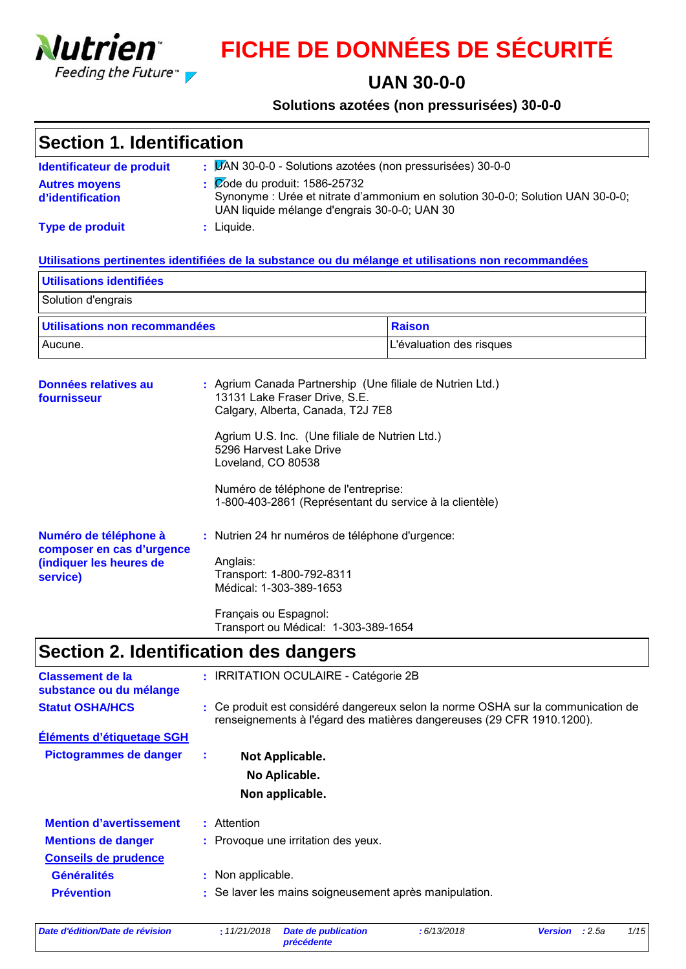

# **FICHE DE DONNÉES DE SÉCURITÉ**

### **UAN 30-0-0**

#### **Solutions azotées (non pressurisées) 30-0-0**

| Section 1. Identification                |                                                                                                                                                                                       |  |  |  |  |
|------------------------------------------|---------------------------------------------------------------------------------------------------------------------------------------------------------------------------------------|--|--|--|--|
| Identificateur de produit                | : LAN 30-0-0 - Solutions azotées (non pressurisées) 30-0-0                                                                                                                            |  |  |  |  |
| <b>Autres moyens</b><br>d'identification | $\frac{1}{2}$ $\sqrt{2}$ Ode du produit: 1586-25732<br>Synonyme : Urée et nitrate d'ammonium en solution 30-0-0; Solution UAN 30-0-0;<br>UAN liquide mélange d'engrais 30-0-0; UAN 30 |  |  |  |  |
| Type de produit                          | : Liquide.                                                                                                                                                                            |  |  |  |  |

#### **Utilisations pertinentes identifiées de la substance ou du mélange et utilisations non recommandées**

| Utilisations identifiées      |                          |  |  |  |  |
|-------------------------------|--------------------------|--|--|--|--|
| Solution d'engrais            |                          |  |  |  |  |
| Utilisations non recommandées | Raison                   |  |  |  |  |
| Aucune.                       | L'évaluation des risques |  |  |  |  |

| Données relatives au<br>fournisseur                |  | : Agrium Canada Partnership (Une filiale de Nutrien Ltd.)<br>13131 Lake Fraser Drive, S.E.<br>Calgary, Alberta, Canada, T2J 7E8 |
|----------------------------------------------------|--|---------------------------------------------------------------------------------------------------------------------------------|
|                                                    |  | Agrium U.S. Inc. (Une filiale de Nutrien Ltd.)<br>5296 Harvest Lake Drive<br>Loveland, CO 80538                                 |
|                                                    |  | Numéro de téléphone de l'entreprise:<br>1-800-403-2861 (Représentant du service à la clientèle)                                 |
| Numéro de téléphone à<br>composer en cas d'urgence |  | : Nutrien 24 hr numéros de téléphone d'urgence:                                                                                 |
| (indiquer les heures de<br>service)                |  | Anglais:<br>Transport: 1-800-792-8311<br>Médical: 1-303-389-1653                                                                |
|                                                    |  | Français ou Espagnol:                                                                                                           |

## **Section 2. Identification des dangers**

| <b>Classement de la</b><br>substance ou du mélange | : IRRITATION OCULAIRE - Catégorie 2B                                                                                                                      |
|----------------------------------------------------|-----------------------------------------------------------------------------------------------------------------------------------------------------------|
| <b>Statut OSHA/HCS</b>                             | : Ce produit est considéré dangereux selon la norme OSHA sur la communication de<br>renseignements à l'égard des matières dangereuses (29 CFR 1910.1200). |
| Éléments d'étiquetage SGH                          |                                                                                                                                                           |
| Pictogrammes de danger                             | Not Applicable.<br>÷                                                                                                                                      |
|                                                    | No Aplicable.                                                                                                                                             |
|                                                    | Non applicable.                                                                                                                                           |
| <b>Mention d'avertissement</b>                     | : Attention                                                                                                                                               |
| <b>Mentions de danger</b>                          | : Provoque une irritation des yeux.                                                                                                                       |
| <b>Conseils de prudence</b>                        |                                                                                                                                                           |
| <b>Généralités</b>                                 | : Non applicable.                                                                                                                                         |
| <b>Prévention</b>                                  | : Se laver les mains soigneusement après manipulation.                                                                                                    |

Transport ou Médical: 1-303-389-1654

*Date d'édition/Date de révision* **:** *11/21/2018 Date de publication*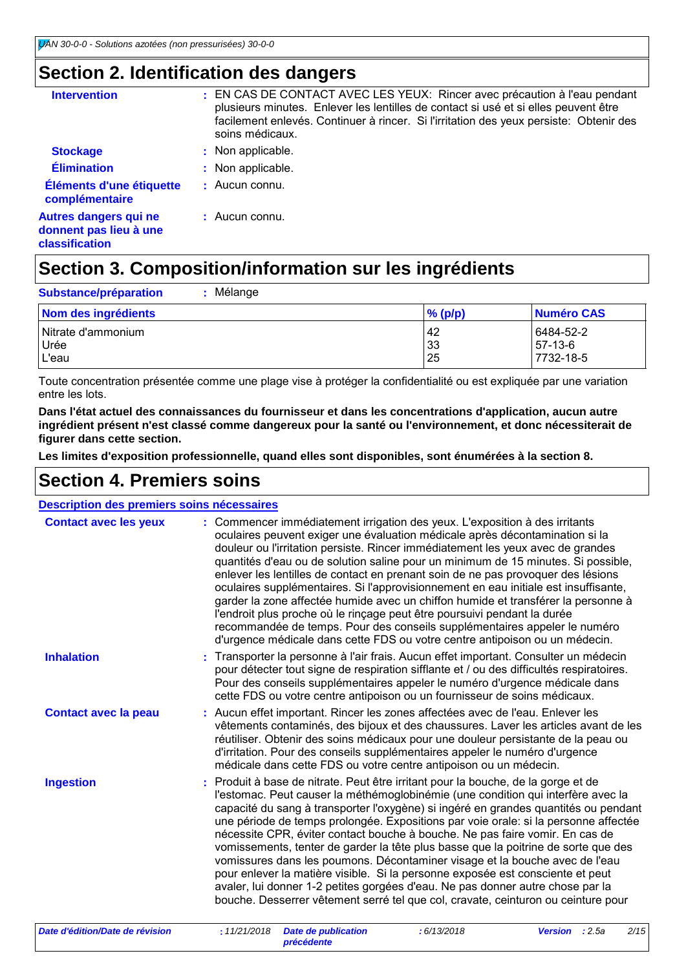### **Section 2. Identification des dangers**

| <b>Intervention</b>                                                             | : EN CAS DE CONTACT AVEC LES YEUX: Rincer avec précaution à l'eau pendant<br>plusieurs minutes. Enlever les lentilles de contact si usé et si elles peuvent être<br>facilement enlevés. Continuer à rincer. Si l'irritation des yeux persiste: Obtenir des<br>soins médicaux. |
|---------------------------------------------------------------------------------|-------------------------------------------------------------------------------------------------------------------------------------------------------------------------------------------------------------------------------------------------------------------------------|
| <b>Stockage</b>                                                                 | : Non applicable.                                                                                                                                                                                                                                                             |
| <b>Élimination</b>                                                              | : Non applicable.                                                                                                                                                                                                                                                             |
| Éléments d'une étiquette<br>complémentaire                                      | $\pm$ Aucun connu.                                                                                                                                                                                                                                                            |
| <b>Autres dangers qui ne</b><br>donnent pas lieu à une<br><b>classification</b> | : Aucun connu.                                                                                                                                                                                                                                                                |

## **Section 3. Composition/information sur les ingrédients**

| Mélange<br><b>Substance/préparation</b> |            |            |
|-----------------------------------------|------------|------------|
| Nom des ingrédients                     | $\%$ (p/p) | Numéro CAS |
| l Nitrate d'ammonium                    | <b>42</b>  | 6484-52-2  |
| Urée                                    | 33         | 57-13-6    |
| L'eau                                   | 25         | 7732-18-5  |

Toute concentration présentée comme une plage vise à protéger la confidentialité ou est expliquée par une variation entre les lots.

**Dans l'état actuel des connaissances du fournisseur et dans les concentrations d'application, aucun autre ingrédient présent n'est classé comme dangereux pour la santé ou l'environnement, et donc nécessiterait de figurer dans cette section.**

**Les limites d'exposition professionnelle, quand elles sont disponibles, sont énumérées à la section 8.**

### **Section 4. Premiers soins**

| Description des premiers soins nécessaires |                                                                                                                                                                                                                                                                                                                                                                                                                                                                                                                                                                                                                                                                                                                                                                                                                                                                   |  |  |
|--------------------------------------------|-------------------------------------------------------------------------------------------------------------------------------------------------------------------------------------------------------------------------------------------------------------------------------------------------------------------------------------------------------------------------------------------------------------------------------------------------------------------------------------------------------------------------------------------------------------------------------------------------------------------------------------------------------------------------------------------------------------------------------------------------------------------------------------------------------------------------------------------------------------------|--|--|
| <b>Contact avec les yeux</b>               | : Commencer immédiatement irrigation des yeux. L'exposition à des irritants<br>oculaires peuvent exiger une évaluation médicale après décontamination si la<br>douleur ou l'irritation persiste. Rincer immédiatement les yeux avec de grandes<br>quantités d'eau ou de solution saline pour un minimum de 15 minutes. Si possible,<br>enlever les lentilles de contact en prenant soin de ne pas provoquer des lésions<br>oculaires supplémentaires. Si l'approvisionnement en eau initiale est insuffisante,<br>garder la zone affectée humide avec un chiffon humide et transférer la personne à<br>l'endroit plus proche où le rinçage peut être poursuivi pendant la durée<br>recommandée de temps. Pour des conseils supplémentaires appeler le numéro<br>d'urgence médicale dans cette FDS ou votre centre antipoison ou un médecin.                       |  |  |
| <b>Inhalation</b>                          | Transporter la personne à l'air frais. Aucun effet important. Consulter un médecin<br>pour détecter tout signe de respiration sifflante et / ou des difficultés respiratoires.<br>Pour des conseils supplémentaires appeler le numéro d'urgence médicale dans<br>cette FDS ou votre centre antipoison ou un fournisseur de soins médicaux.                                                                                                                                                                                                                                                                                                                                                                                                                                                                                                                        |  |  |
| <b>Contact avec la peau</b>                | : Aucun effet important. Rincer les zones affectées avec de l'eau. Enlever les<br>vêtements contaminés, des bijoux et des chaussures. Laver les articles avant de les<br>réutiliser. Obtenir des soins médicaux pour une douleur persistante de la peau ou<br>d'irritation. Pour des conseils supplémentaires appeler le numéro d'urgence<br>médicale dans cette FDS ou votre centre antipoison ou un médecin.                                                                                                                                                                                                                                                                                                                                                                                                                                                    |  |  |
| <b>Ingestion</b>                           | : Produit à base de nitrate. Peut être irritant pour la bouche, de la gorge et de<br>l'estomac. Peut causer la méthémoglobinémie (une condition qui interfère avec la<br>capacité du sang à transporter l'oxygène) si ingéré en grandes quantités ou pendant<br>une période de temps prolongée. Expositions par voie orale: si la personne affectée<br>nécessite CPR, éviter contact bouche à bouche. Ne pas faire vomir. En cas de<br>vomissements, tenter de garder la tête plus basse que la poitrine de sorte que des<br>vomissures dans les poumons. Décontaminer visage et la bouche avec de l'eau<br>pour enlever la matière visible. Si la personne exposée est consciente et peut<br>avaler, lui donner 1-2 petites gorgées d'eau. Ne pas donner autre chose par la<br>bouche. Desserrer vêtement serré tel que col, cravate, ceinturon ou ceinture pour |  |  |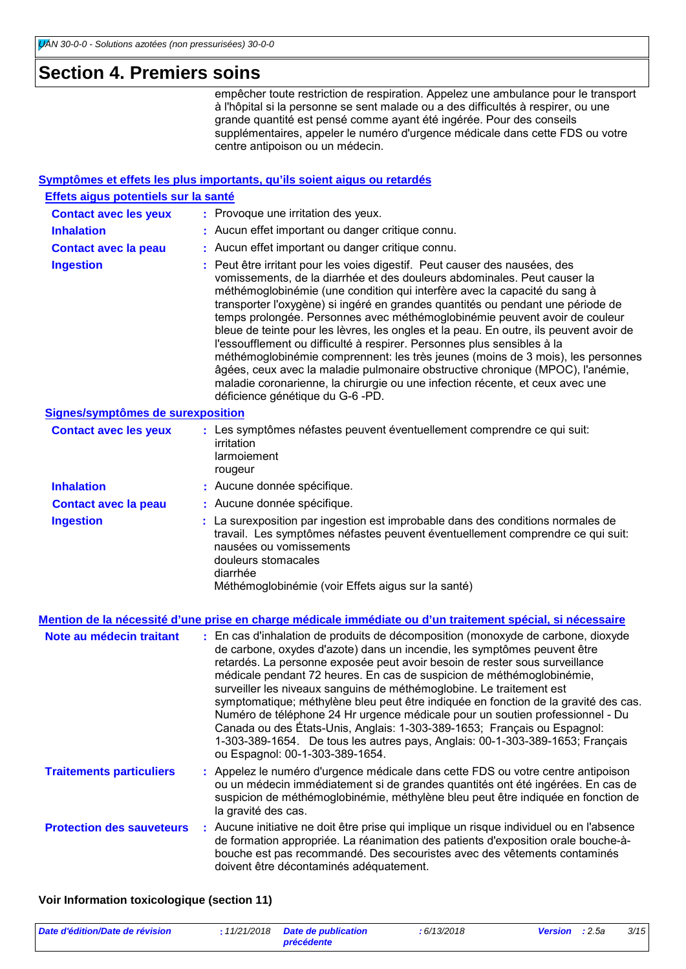### **Section 4. Premiers soins**

empêcher toute restriction de respiration. Appelez une ambulance pour le transport à l'hôpital si la personne se sent malade ou a des difficultés à respirer, ou une grande quantité est pensé comme ayant été ingérée. Pour des conseils supplémentaires, appeler le numéro d'urgence médicale dans cette FDS ou votre centre antipoison ou un médecin.

#### **Symptômes et effets les plus importants, qu'ils soient aigus ou retardés**

| Effets aigus potentiels sur la santé |                                                                                                                                                                                                                                                                                                                                                                                                                                                                                                                                                                                                                                                                                                                                                                                                                                                                     |
|--------------------------------------|---------------------------------------------------------------------------------------------------------------------------------------------------------------------------------------------------------------------------------------------------------------------------------------------------------------------------------------------------------------------------------------------------------------------------------------------------------------------------------------------------------------------------------------------------------------------------------------------------------------------------------------------------------------------------------------------------------------------------------------------------------------------------------------------------------------------------------------------------------------------|
| <b>Contact avec les yeux</b>         | : Provoque une irritation des yeux.                                                                                                                                                                                                                                                                                                                                                                                                                                                                                                                                                                                                                                                                                                                                                                                                                                 |
| <b>Inhalation</b>                    | : Aucun effet important ou danger critique connu.                                                                                                                                                                                                                                                                                                                                                                                                                                                                                                                                                                                                                                                                                                                                                                                                                   |
| <b>Contact avec la peau</b>          | : Aucun effet important ou danger critique connu.                                                                                                                                                                                                                                                                                                                                                                                                                                                                                                                                                                                                                                                                                                                                                                                                                   |
| <b>Ingestion</b>                     | : Peut être irritant pour les voies digestif. Peut causer des nausées, des<br>vomissements, de la diarrhée et des douleurs abdominales. Peut causer la<br>méthémoglobinémie (une condition qui interfère avec la capacité du sang à<br>transporter l'oxygène) si ingéré en grandes quantités ou pendant une période de<br>temps prolongée. Personnes avec méthémoglobinémie peuvent avoir de couleur<br>bleue de teinte pour les lèvres, les ongles et la peau. En outre, ils peuvent avoir de<br>l'essoufflement ou difficulté à respirer. Personnes plus sensibles à la<br>méthémoglobinémie comprennent: les très jeunes (moins de 3 mois), les personnes<br>âgées, ceux avec la maladie pulmonaire obstructive chronique (MPOC), l'anémie,<br>maladie coronarienne, la chirurgie ou une infection récente, et ceux avec une<br>déficience génétique du G-6 -PD. |
| Signes/symptômes de surexposition    |                                                                                                                                                                                                                                                                                                                                                                                                                                                                                                                                                                                                                                                                                                                                                                                                                                                                     |
| <b>Contact avec les yeux</b>         | : Les symptômes néfastes peuvent éventuellement comprendre ce qui suit:<br>irritation<br>larmoiement<br>rougeur                                                                                                                                                                                                                                                                                                                                                                                                                                                                                                                                                                                                                                                                                                                                                     |
| <b>Inhalation</b>                    | : Aucune donnée spécifique.                                                                                                                                                                                                                                                                                                                                                                                                                                                                                                                                                                                                                                                                                                                                                                                                                                         |
| <b>Contact avec la peau</b>          | : Aucune donnée spécifique.                                                                                                                                                                                                                                                                                                                                                                                                                                                                                                                                                                                                                                                                                                                                                                                                                                         |
| <b>Ingestion</b>                     | : La surexposition par ingestion est improbable dans des conditions normales de<br>travail. Les symptômes néfastes peuvent éventuellement comprendre ce qui suit:<br>nausées ou vomissements<br>douleurs stomacales<br>diarrhée<br>Méthémoglobinémie (voir Effets aigus sur la santé)                                                                                                                                                                                                                                                                                                                                                                                                                                                                                                                                                                               |
|                                      | <u>Mention de la nécessité d'une prise en charge médicale immédiate ou d'un traitement spécial, si nécessaire</u>                                                                                                                                                                                                                                                                                                                                                                                                                                                                                                                                                                                                                                                                                                                                                   |
| Note au médecin traitant             | : En cas d'inhalation de produits de décomposition (monoxyde de carbone, dioxyde<br>de carbone, oxydes d'azote) dans un incendie, les symptômes peuvent être<br>retardés. La personne exposée peut avoir besoin de rester sous surveillance<br>médicale pendant 72 heures. En cas de suspicion de méthémoglobinémie,<br>surveiller les niveaux sanguins de méthémoglobine. Le traitement est<br>symptomatique; méthylène bleu peut être indiquée en fonction de la gravité des cas.<br>Numéro de téléphone 24 Hr urgence médicale pour un soutien professionnel - Du<br>Canada ou des États-Unis, Anglais: 1-303-389-1653; Français ou Espagnol:<br>1-303-389-1654. De tous les autres pays, Anglais: 00-1-303-389-1653; Français<br>ou Espagnol: 00-1-303-389-1654.                                                                                                |
| <b>Traitements particuliers</b>      | : Appelez le numéro d'urgence médicale dans cette FDS ou votre centre antipoison<br>ou un médecin immédiatement si de grandes quantités ont été ingérées. En cas de<br>suspicion de méthémoglobinémie, méthylène bleu peut être indiquée en fonction de<br>la gravité des cas.                                                                                                                                                                                                                                                                                                                                                                                                                                                                                                                                                                                      |
| <b>Protection des sauveteurs</b>     | : Aucune initiative ne doit être prise qui implique un risque individuel ou en l'absence<br>de formation appropriée. La réanimation des patients d'exposition orale bouche à                                                                                                                                                                                                                                                                                                                                                                                                                                                                                                                                                                                                                                                                                        |

#### de formation appropriée. La réanimation des patients d'exposition orale bouche-àbouche est pas recommandé. Des secouristes avec des vêtements contaminés doivent être décontaminés adéquatement.

#### **Voir Information toxicologique (section 11)**

| Date d'édition/Date de révision | : $11/21/2018$ Date de publication | :6/13/2018 | <b>Version</b> : 2.5a | 3/15 |
|---------------------------------|------------------------------------|------------|-----------------------|------|
|                                 | précédente                         |            |                       |      |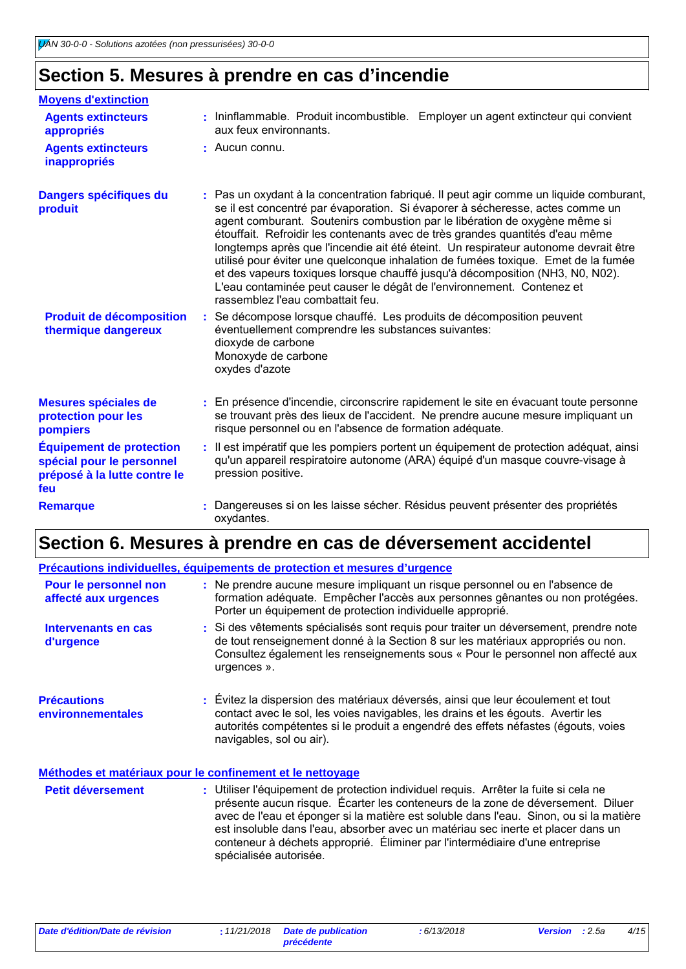### **Section 5. Mesures à prendre en cas d'incendie**

| <b>Moyens d'extinction</b>                                                                          |                                                                                                                                                                                                                                                                                                                                                                                                                                                                                                                                                                                                                                                                                                                  |
|-----------------------------------------------------------------------------------------------------|------------------------------------------------------------------------------------------------------------------------------------------------------------------------------------------------------------------------------------------------------------------------------------------------------------------------------------------------------------------------------------------------------------------------------------------------------------------------------------------------------------------------------------------------------------------------------------------------------------------------------------------------------------------------------------------------------------------|
| <b>Agents extincteurs</b><br>appropriés                                                             | : Ininflammable. Produit incombustible. Employer un agent extincteur qui convient<br>aux feux environnants.                                                                                                                                                                                                                                                                                                                                                                                                                                                                                                                                                                                                      |
| <b>Agents extincteurs</b><br>inappropriés                                                           | : Aucun connu.                                                                                                                                                                                                                                                                                                                                                                                                                                                                                                                                                                                                                                                                                                   |
| Dangers spécifiques du<br>produit                                                                   | : Pas un oxydant à la concentration fabriqué. Il peut agir comme un liquide comburant,<br>se il est concentré par évaporation. Si évaporer à sécheresse, actes comme un<br>agent comburant. Soutenirs combustion par le libération de oxygène même si<br>étouffait. Refroidir les contenants avec de très grandes quantités d'eau même<br>longtemps après que l'incendie ait été éteint. Un respirateur autonome devrait être<br>utilisé pour éviter une quelconque inhalation de fumées toxique. Emet de la fumée<br>et des vapeurs toxiques lorsque chauffé jusqu'à décomposition (NH3, N0, N02).<br>L'eau contaminée peut causer le dégât de l'environnement. Contenez et<br>rassemblez l'eau combattait feu. |
| <b>Produit de décomposition</b><br>thermique dangereux                                              | Se décompose lorsque chauffé. Les produits de décomposition peuvent<br>÷.<br>éventuellement comprendre les substances suivantes:<br>dioxyde de carbone<br>Monoxyde de carbone<br>oxydes d'azote                                                                                                                                                                                                                                                                                                                                                                                                                                                                                                                  |
| Mesures spéciales de<br>protection pour les<br>pompiers                                             | : En présence d'incendie, circonscrire rapidement le site en évacuant toute personne<br>se trouvant près des lieux de l'accident. Ne prendre aucune mesure impliquant un<br>risque personnel ou en l'absence de formation adéquate.                                                                                                                                                                                                                                                                                                                                                                                                                                                                              |
| <b>Équipement de protection</b><br>spécial pour le personnel<br>préposé à la lutte contre le<br>feu | : Il est impératif que les pompiers portent un équipement de protection adéquat, ainsi<br>qu'un appareil respiratoire autonome (ARA) équipé d'un masque couvre-visage à<br>pression positive.                                                                                                                                                                                                                                                                                                                                                                                                                                                                                                                    |
| <b>Remarque</b>                                                                                     | Dangereuses si on les laisse sécher. Résidus peuvent présenter des propriétés<br>oxydantes.                                                                                                                                                                                                                                                                                                                                                                                                                                                                                                                                                                                                                      |

## **Section 6. Mesures à prendre en cas de déversement accidentel**

|                                               | Précautions individuelles, équipements de protection et mesures d'urgence                                                                                                                                                                                                             |
|-----------------------------------------------|---------------------------------------------------------------------------------------------------------------------------------------------------------------------------------------------------------------------------------------------------------------------------------------|
| Pour le personnel non<br>affecté aux urgences | : Ne prendre aucune mesure impliquant un risque personnel ou en l'absence de<br>formation adéquate. Empêcher l'accès aux personnes gênantes ou non protégées.<br>Porter un équipement de protection individuelle approprié.                                                           |
| Intervenants en cas<br>d'urgence              | : Si des vêtements spécialisés sont requis pour traiter un déversement, prendre note<br>de tout renseignement donné à la Section 8 sur les matériaux appropriés ou non.<br>Consultez également les renseignements sous « Pour le personnel non affecté aux<br>urgences ».             |
| <b>Précautions</b><br>environnementales       | : Évitez la dispersion des matériaux déversés, ainsi que leur écoulement et tout<br>contact avec le sol, les voies navigables, les drains et les égouts. Avertir les<br>autorités compétentes si le produit a engendré des effets néfastes (égouts, voies<br>navigables, sol ou air). |
|                                               | Méthodes et matériaux pour le confinement et le nettoyage                                                                                                                                                                                                                             |
| <b>Petit déversement</b>                      | : Utiliser l'équipement de protection individuel requis. Arrêter la fuite si cela ne<br>présente aucun risque. Écarter les conteneurs de la zone de déversement. Diluer<br>aves de "cau et éponser ai la matière set seluble dans "cau - Cinen eu si la matière"                      |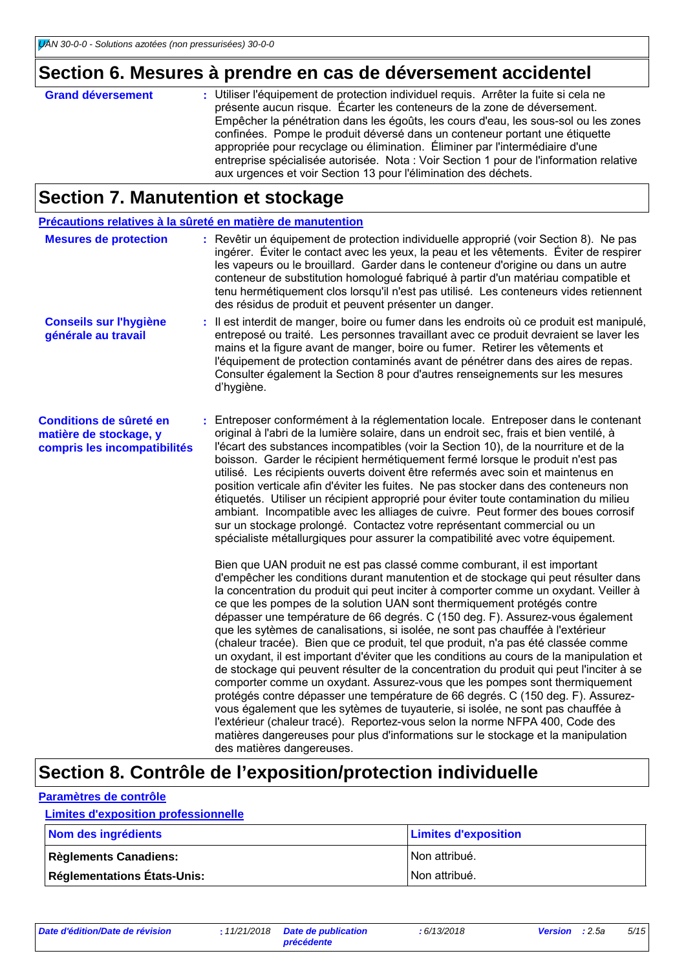## **Section 6. Mesures à prendre en cas de déversement accidentel**

| <b>Grand déversement</b> | : Utiliser l'équipement de protection individuel requis. Arrêter la fuite si cela ne<br>présente aucun risque. Écarter les conteneurs de la zone de déversement.<br>Empêcher la pénétration dans les égoûts, les cours d'eau, les sous-sol ou les zones<br>confinées. Pompe le produit déversé dans un conteneur portant une étiquette<br>appropriée pour recyclage ou élimination. Éliminer par l'intermédiaire d'une<br>entreprise spécialisée autorisée. Nota : Voir Section 1 pour de l'information relative<br>aux urgences et voir Section 13 pour l'élimination des déchets. |
|--------------------------|-------------------------------------------------------------------------------------------------------------------------------------------------------------------------------------------------------------------------------------------------------------------------------------------------------------------------------------------------------------------------------------------------------------------------------------------------------------------------------------------------------------------------------------------------------------------------------------|
|                          |                                                                                                                                                                                                                                                                                                                                                                                                                                                                                                                                                                                     |

### **Section 7. Manutention et stockage**

| Précautions relatives à la sûreté en matière de manutention                       |                                                                                                                                                                                                                                                                                                                                                                                                                                                                                                                                                                                                                                                                                                                                                                                                                                                                                                                                                                                                                                                                                                                                                                                                                                       |
|-----------------------------------------------------------------------------------|---------------------------------------------------------------------------------------------------------------------------------------------------------------------------------------------------------------------------------------------------------------------------------------------------------------------------------------------------------------------------------------------------------------------------------------------------------------------------------------------------------------------------------------------------------------------------------------------------------------------------------------------------------------------------------------------------------------------------------------------------------------------------------------------------------------------------------------------------------------------------------------------------------------------------------------------------------------------------------------------------------------------------------------------------------------------------------------------------------------------------------------------------------------------------------------------------------------------------------------|
| <b>Mesures de protection</b>                                                      | : Revêtir un équipement de protection individuelle approprié (voir Section 8). Ne pas<br>ingérer. Éviter le contact avec les yeux, la peau et les vêtements. Éviter de respirer<br>les vapeurs ou le brouillard. Garder dans le conteneur d'origine ou dans un autre<br>conteneur de substitution homologué fabriqué à partir d'un matériau compatible et<br>tenu hermétiquement clos lorsqu'il n'est pas utilisé. Les conteneurs vides retiennent<br>des résidus de produit et peuvent présenter un danger.                                                                                                                                                                                                                                                                                                                                                                                                                                                                                                                                                                                                                                                                                                                          |
| <b>Conseils sur l'hygiène</b><br>générale au travail                              | : Il est interdit de manger, boire ou fumer dans les endroits où ce produit est manipulé,<br>entreposé ou traité. Les personnes travaillant avec ce produit devraient se laver les<br>mains et la figure avant de manger, boire ou fumer. Retirer les vêtements et<br>l'équipement de protection contaminés avant de pénétrer dans des aires de repas.<br>Consulter également la Section 8 pour d'autres renseignements sur les mesures<br>d'hygiène.                                                                                                                                                                                                                                                                                                                                                                                                                                                                                                                                                                                                                                                                                                                                                                                 |
| Conditions de sûreté en<br>matière de stockage, y<br>compris les incompatibilités | : Entreposer conformément à la réglementation locale. Entreposer dans le contenant<br>original à l'abri de la lumière solaire, dans un endroit sec, frais et bien ventilé, à<br>l'écart des substances incompatibles (voir la Section 10), de la nourriture et de la<br>boisson. Garder le récipient hermétiquement fermé lorsque le produit n'est pas<br>utilisé. Les récipients ouverts doivent être refermés avec soin et maintenus en<br>position verticale afin d'éviter les fuites. Ne pas stocker dans des conteneurs non<br>étiquetés. Utiliser un récipient approprié pour éviter toute contamination du milieu<br>ambiant. Incompatible avec les alliages de cuivre. Peut former des boues corrosif<br>sur un stockage prolongé. Contactez votre représentant commercial ou un<br>spécialiste métallurgiques pour assurer la compatibilité avec votre équipement.                                                                                                                                                                                                                                                                                                                                                           |
|                                                                                   | Bien que UAN produit ne est pas classé comme comburant, il est important<br>d'empêcher les conditions durant manutention et de stockage qui peut résulter dans<br>la concentration du produit qui peut inciter à comporter comme un oxydant. Veiller à<br>ce que les pompes de la solution UAN sont thermiquement protégés contre<br>dépasser une température de 66 degrés. C (150 deg. F). Assurez-vous également<br>que les sytèmes de canalisations, si isolée, ne sont pas chauffée à l'extérieur<br>(chaleur tracée). Bien que ce produit, tel que produit, n'a pas été classée comme<br>un oxydant, il est important d'éviter que les conditions au cours de la manipulation et<br>de stockage qui peuvent résulter de la concentration du produit qui peut l'inciter à se<br>comporter comme un oxydant. Assurez-vous que les pompes sont thermiquement<br>protégés contre dépasser une température de 66 degrés. C (150 deg. F). Assurez-<br>vous également que les sytèmes de tuyauterie, si isolée, ne sont pas chauffée à<br>l'extérieur (chaleur tracé). Reportez-vous selon la norme NFPA 400, Code des<br>matières dangereuses pour plus d'informations sur le stockage et la manipulation<br>des matières dangereuses. |

## **Section 8. Contrôle de l'exposition/protection individuelle**

#### **Paramètres de contrôle**

#### **Limites d'exposition professionnelle**

| Nom des ingrédients                | <b>Limites d'exposition</b> |
|------------------------------------|-----------------------------|
| <b>Règlements Canadiens:</b>       | INon attribué.              |
| <b>Réglementations États-Unis:</b> | Non attribué.               |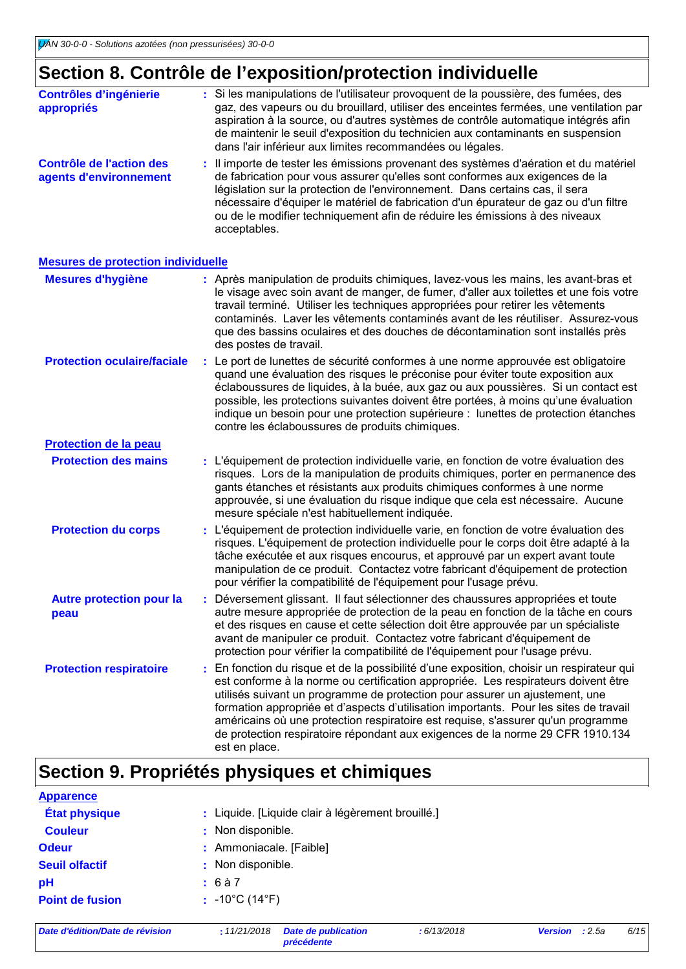## **Section 8. Contrôle de l'exposition/protection individuelle**

| <b>Contrôles d'ingénierie</b><br>appropriés        | : Si les manipulations de l'utilisateur provoquent de la poussière, des fumées, des<br>gaz, des vapeurs ou du brouillard, utiliser des enceintes fermées, une ventilation par<br>aspiration à la source, ou d'autres systèmes de contrôle automatique intégrés afin<br>de maintenir le seuil d'exposition du technicien aux contaminants en suspension<br>dans l'air inférieur aux limites recommandées ou légales.                          |
|----------------------------------------------------|----------------------------------------------------------------------------------------------------------------------------------------------------------------------------------------------------------------------------------------------------------------------------------------------------------------------------------------------------------------------------------------------------------------------------------------------|
| Contrôle de l'action des<br>agents d'environnement | : Il importe de tester les émissions provenant des systèmes d'aération et du matériel<br>de fabrication pour vous assurer qu'elles sont conformes aux exigences de la<br>législation sur la protection de l'environnement. Dans certains cas, il sera<br>nécessaire d'équiper le matériel de fabrication d'un épurateur de gaz ou d'un filtre<br>ou de le modifier techniquement afin de réduire les émissions à des niveaux<br>acceptables. |

#### **Mesures de protection individuelle**

| <b>Mesures d'hygiène</b>                |    | : Après manipulation de produits chimiques, lavez-vous les mains, les avant-bras et<br>le visage avec soin avant de manger, de fumer, d'aller aux toilettes et une fois votre<br>travail terminé. Utiliser les techniques appropriées pour retirer les vêtements<br>contaminés. Laver les vêtements contaminés avant de les réutiliser. Assurez-vous<br>que des bassins oculaires et des douches de décontamination sont installés près<br>des postes de travail.                                                                            |
|-----------------------------------------|----|----------------------------------------------------------------------------------------------------------------------------------------------------------------------------------------------------------------------------------------------------------------------------------------------------------------------------------------------------------------------------------------------------------------------------------------------------------------------------------------------------------------------------------------------|
| <b>Protection oculaire/faciale</b>      |    | : Le port de lunettes de sécurité conformes à une norme approuvée est obligatoire<br>quand une évaluation des risques le préconise pour éviter toute exposition aux<br>éclaboussures de liquides, à la buée, aux gaz ou aux poussières. Si un contact est<br>possible, les protections suivantes doivent être portées, à moins qu'une évaluation<br>indique un besoin pour une protection supérieure : lunettes de protection étanches<br>contre les éclaboussures de produits chimiques.                                                    |
| <b>Protection de la peau</b>            |    |                                                                                                                                                                                                                                                                                                                                                                                                                                                                                                                                              |
| <b>Protection des mains</b>             |    | : L'équipement de protection individuelle varie, en fonction de votre évaluation des<br>risques. Lors de la manipulation de produits chimiques, porter en permanence des<br>gants étanches et résistants aux produits chimiques conformes à une norme<br>approuvée, si une évaluation du risque indique que cela est nécessaire. Aucune<br>mesure spéciale n'est habituellement indiquée.                                                                                                                                                    |
| <b>Protection du corps</b>              | ŧ. | L'équipement de protection individuelle varie, en fonction de votre évaluation des<br>risques. L'équipement de protection individuelle pour le corps doit être adapté à la<br>tâche exécutée et aux risques encourus, et approuvé par un expert avant toute<br>manipulation de ce produit. Contactez votre fabricant d'équipement de protection<br>pour vérifier la compatibilité de l'équipement pour l'usage prévu.                                                                                                                        |
| <b>Autre protection pour la</b><br>peau |    | : Déversement glissant. Il faut sélectionner des chaussures appropriées et toute<br>autre mesure appropriée de protection de la peau en fonction de la tâche en cours<br>et des risques en cause et cette sélection doit être approuvée par un spécialiste<br>avant de manipuler ce produit. Contactez votre fabricant d'équipement de<br>protection pour vérifier la compatibilité de l'équipement pour l'usage prévu.                                                                                                                      |
| <b>Protection respiratoire</b>          | ÷. | En fonction du risque et de la possibilité d'une exposition, choisir un respirateur qui<br>est conforme à la norme ou certification appropriée. Les respirateurs doivent être<br>utilisés suivant un programme de protection pour assurer un ajustement, une<br>formation appropriée et d'aspects d'utilisation importants. Pour les sites de travail<br>américains où une protection respiratoire est requise, s'assurer qu'un programme<br>de protection respiratoire répondant aux exigences de la norme 29 CFR 1910.134<br>est en place. |

## **Section 9. Propriétés physiques et chimiques**

| <b>Apparence</b>       |                                                   |
|------------------------|---------------------------------------------------|
| <b>État physique</b>   | : Liquide. [Liquide clair à légèrement brouillé.] |
| <b>Couleur</b>         | : Non disponible.                                 |
| <b>Odeur</b>           | : Ammoniacale. [Faible]                           |
| <b>Seuil olfactif</b>  | : Non disponible.                                 |
| рH                     | : 6à7                                             |
| <b>Point de fusion</b> | $: -10^{\circ}C(14^{\circ}F)$                     |
|                        |                                                   |

*Date d'édition/Date de révision* **:** *11/21/2018 Date de publication*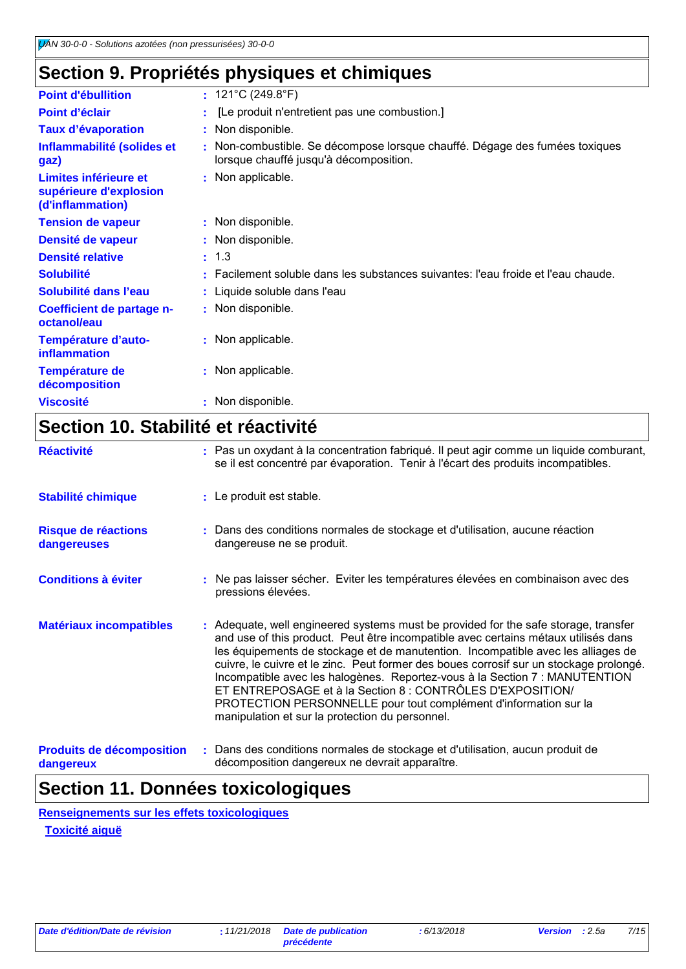## **Section 9. Propriétés physiques et chimiques**

| <b>Point d'ébullition</b>                                           | : $121^{\circ}$ C (249.8 $^{\circ}$ F)                                                                                |
|---------------------------------------------------------------------|-----------------------------------------------------------------------------------------------------------------------|
| Point d'éclair                                                      | [Le produit n'entretient pas une combustion.]                                                                         |
| <b>Taux d'évaporation</b>                                           | : Non disponible.                                                                                                     |
| Inflammabilité (solides et<br>gaz)                                  | : Non-combustible. Se décompose lorsque chauffé. Dégage des fumées toxiques<br>lorsque chauffé jusqu'à décomposition. |
| Limites inférieure et<br>supérieure d'explosion<br>(d'inflammation) | : Non applicable.                                                                                                     |
| <b>Tension de vapeur</b>                                            | : Non disponible.                                                                                                     |
| Densité de vapeur                                                   | : Non disponible.                                                                                                     |
| <b>Densité relative</b>                                             | : 1.3                                                                                                                 |
| <b>Solubilité</b>                                                   | : Facilement soluble dans les substances suivantes: l'eau froide et l'eau chaude.                                     |
| Solubilité dans l'eau                                               | : Liquide soluble dans l'eau                                                                                          |
| Coefficient de partage n-<br>octanol/eau                            | : Non disponible.                                                                                                     |
| Température d'auto-<br>inflammation                                 | : Non applicable.                                                                                                     |
| <b>Température de</b><br>décomposition                              | : Non applicable.                                                                                                     |
| <b>Viscosité</b>                                                    | Non disponible.                                                                                                       |
|                                                                     |                                                                                                                       |

### **Section 10. Stabilité et réactivité**

| <b>Réactivité</b>                             | : Pas un oxydant à la concentration fabriqué. Il peut agir comme un liquide comburant,<br>se il est concentré par évaporation. Tenir à l'écart des produits incompatibles.                                                                                                                                                                                                                                                                                                                                                                                                                                                  |
|-----------------------------------------------|-----------------------------------------------------------------------------------------------------------------------------------------------------------------------------------------------------------------------------------------------------------------------------------------------------------------------------------------------------------------------------------------------------------------------------------------------------------------------------------------------------------------------------------------------------------------------------------------------------------------------------|
| <b>Stabilité chimique</b>                     | : Le produit est stable.                                                                                                                                                                                                                                                                                                                                                                                                                                                                                                                                                                                                    |
| Risque de réactions<br>dangereuses            | : Dans des conditions normales de stockage et d'utilisation, aucune réaction<br>dangereuse ne se produit.                                                                                                                                                                                                                                                                                                                                                                                                                                                                                                                   |
| <b>Conditions à éviter</b>                    | Ne pas laisser sécher. Eviter les températures élevées en combinaison avec des<br>pressions élevées.                                                                                                                                                                                                                                                                                                                                                                                                                                                                                                                        |
| <b>Matériaux incompatibles</b>                | : Adequate, well engineered systems must be provided for the safe storage, transfer<br>and use of this product. Peut être incompatible avec certains métaux utilisés dans<br>les équipements de stockage et de manutention. Incompatible avec les alliages de<br>cuivre, le cuivre et le zinc. Peut former des boues corrosif sur un stockage prolongé.<br>Incompatible avec les halogènes. Reportez-vous à la Section 7 : MANUTENTION<br>ET ENTREPOSAGE et à la Section 8 : CONTRÔLES D'EXPOSITION/<br>PROTECTION PERSONNELLE pour tout complément d'information sur la<br>manipulation et sur la protection du personnel. |
| <b>Produits de décomposition</b><br>dangereux | : Dans des conditions normales de stockage et d'utilisation, aucun produit de<br>décomposition dangereux ne devrait apparaître.                                                                                                                                                                                                                                                                                                                                                                                                                                                                                             |

### **Section 11. Données toxicologiques**

**Renseignements sur les effets toxicologiques**

**Toxicité aiguë**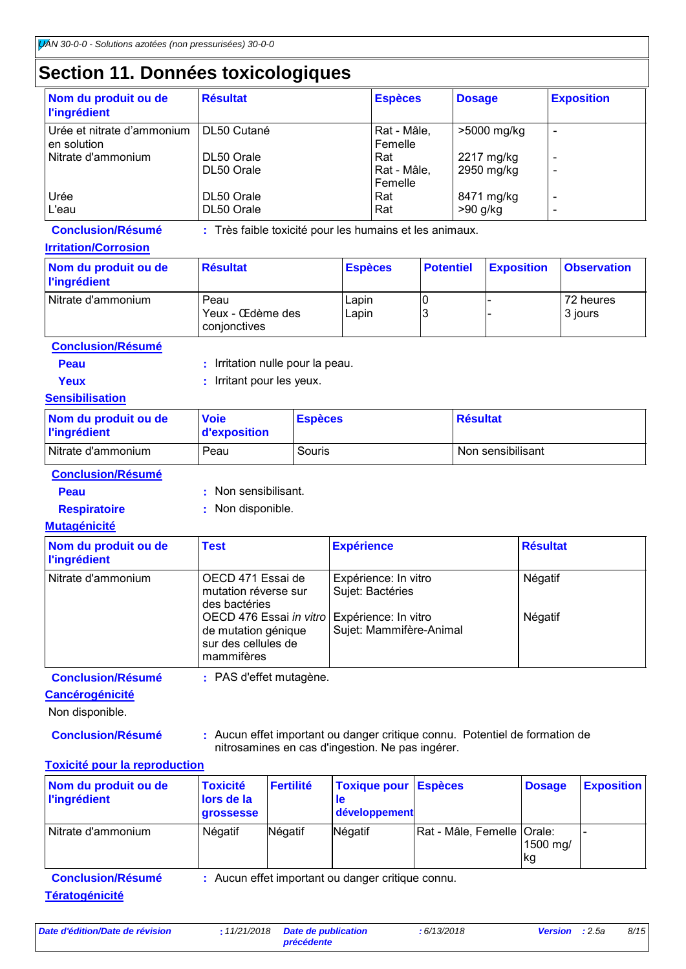### **Section 11. Données toxicologiques**

| Nom du produit ou de<br><b>l'ingrédient</b> | <b>Résultat</b>          | <b>Espèces</b>                | <b>Dosage</b>            | <b>Exposition</b>             |
|---------------------------------------------|--------------------------|-------------------------------|--------------------------|-------------------------------|
| Urée et nitrate d'ammonium<br>en solution   | DL50 Cutané              | Rat - Mâle,<br>Femelle        | >5000 mg/kg              | -                             |
| Nitrate d'ammonium                          | DL50 Orale<br>DL50 Orale | Rat<br>Rat - Mâle,<br>Femelle | 2217 mg/kg<br>2950 mg/kg | $\overline{\phantom{a}}$<br>- |
| Urée<br>L'eau                               | DL50 Orale<br>DL50 Orale | Rat<br>Rat                    | 8471 mg/kg<br>$>90$ g/kg | $\overline{\phantom{0}}$      |

**Conclusion/Résumé :** Très faible toxicité pour les humains et les animaux.

#### **Irritation/Corrosion**

| Nom du produit ou de<br><b>l'ingrédient</b> | <b>Résultat</b>                          | <b>Espèces</b> | <b>Potentiel</b> | <b>Exposition</b> | <b>Observation</b>   |
|---------------------------------------------|------------------------------------------|----------------|------------------|-------------------|----------------------|
| Nitrate d'ammonium                          | Peau<br>Yeux - Œdème des<br>conjonctives | Lapin<br>Lapin |                  |                   | 72 heures<br>3 jours |

**Conclusion/Résumé**

- **Peau** : Irritation nulle pour la peau.
- 
- **Yeux** : Irritant pour les yeux.

#### **Sensibilisation**

| Nom du produit ou de<br><b>l'ingrédient</b> | <b>Voie</b><br><b>d'exposition</b> | <b>Espèces</b> | <b>Résultat</b>   |
|---------------------------------------------|------------------------------------|----------------|-------------------|
| Nitrate d'ammonium                          | Peau                               | Souris         | Non sensibilisant |

**Conclusion/Résumé**

- 
- **Peau :** Non sensibilisant.
- 
- **Respiratoire :** Non disponible.

#### **Mutagénicité**

| Nom du produit ou de<br><b>l'ingrédient</b> | <b>Test</b>                                                                                              | <b>Expérience</b>                        | <b>Résultat</b> |
|---------------------------------------------|----------------------------------------------------------------------------------------------------------|------------------------------------------|-----------------|
| Nitrate d'ammonium                          | OECD 471 Essai de<br>mutation réverse sur<br>des bactéries                                               | Expérience: In vitro<br>Sujet: Bactéries | Négatif         |
|                                             | OECD 476 Essai in vitro Expérience: In vitro<br>de mutation génique<br>sur des cellules de<br>mammifères | Sujet: Mammifère-Animal                  | Négatif         |

**Conclusion/Résumé :** PAS d'effet mutagène.

#### **Cancérogénicité**

Non disponible.

**Conclusion/Résumé :** Aucun effet important ou danger critique connu. Potentiel de formation de nitrosamines en cas d'ingestion. Ne pas ingérer.

#### **Toxicité pour la reproduction**

| Nom du produit ou de<br><b>l'ingrédient</b>       | <b>Toxicité</b><br>lors de la<br><b>grossesse</b> | <b>Fertilité</b> | <b>Toxique pour</b><br><b>le</b><br>développement | <b>Espèces</b>             | <b>Dosage</b>  | <b>Exposition</b> |
|---------------------------------------------------|---------------------------------------------------|------------------|---------------------------------------------------|----------------------------|----------------|-------------------|
| Nitrate d'ammonium                                | Négatif                                           | Négatif          | Négatif                                           | Rat - Mâle, Femelle Orale: | 1500 mg/<br>kg |                   |
| <b>Conclusion/Résumé</b><br><b>Tératogénicité</b> |                                                   |                  | : Aucun effet important ou danger critique connu. |                            |                |                   |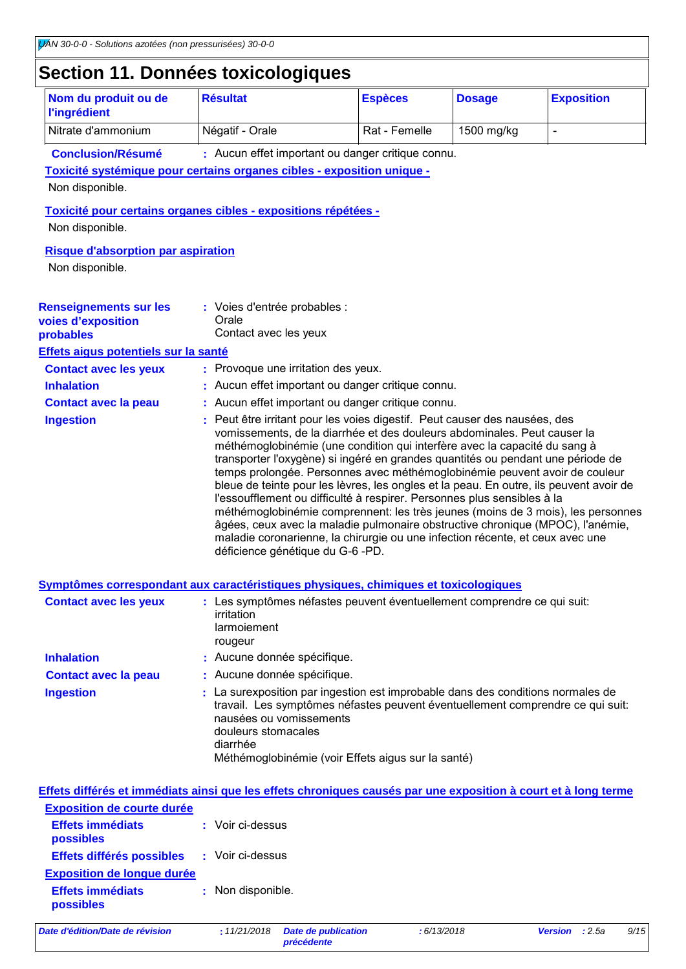### **Section 11. Données toxicologiques**

| Nom du produit ou de<br><b>l'ingrédient</b>                                                                                                  | <b>Résultat</b>                                                                                                 | <b>Espèces</b>                                                                                                                                                                                                                                                                                                                                                                                                                                                                                                                                                                                                                                                                                                                                                                                                                | <b>Dosage</b> | <b>Exposition</b> |
|----------------------------------------------------------------------------------------------------------------------------------------------|-----------------------------------------------------------------------------------------------------------------|-------------------------------------------------------------------------------------------------------------------------------------------------------------------------------------------------------------------------------------------------------------------------------------------------------------------------------------------------------------------------------------------------------------------------------------------------------------------------------------------------------------------------------------------------------------------------------------------------------------------------------------------------------------------------------------------------------------------------------------------------------------------------------------------------------------------------------|---------------|-------------------|
| Nitrate d'ammonium                                                                                                                           | Négatif - Orale                                                                                                 | Rat - Femelle                                                                                                                                                                                                                                                                                                                                                                                                                                                                                                                                                                                                                                                                                                                                                                                                                 | 1500 mg/kg    | $\blacksquare$    |
| <b>Conclusion/Résumé</b>                                                                                                                     |                                                                                                                 | : Aucun effet important ou danger critique connu.                                                                                                                                                                                                                                                                                                                                                                                                                                                                                                                                                                                                                                                                                                                                                                             |               |                   |
| Toxicité systémique pour certains organes cibles - exposition unique -                                                                       |                                                                                                                 |                                                                                                                                                                                                                                                                                                                                                                                                                                                                                                                                                                                                                                                                                                                                                                                                                               |               |                   |
| Non disponible.                                                                                                                              |                                                                                                                 |                                                                                                                                                                                                                                                                                                                                                                                                                                                                                                                                                                                                                                                                                                                                                                                                                               |               |                   |
| Toxicité pour certains organes cibles - expositions répétées -                                                                               |                                                                                                                 |                                                                                                                                                                                                                                                                                                                                                                                                                                                                                                                                                                                                                                                                                                                                                                                                                               |               |                   |
| Non disponible.                                                                                                                              |                                                                                                                 |                                                                                                                                                                                                                                                                                                                                                                                                                                                                                                                                                                                                                                                                                                                                                                                                                               |               |                   |
| <b>Risque d'absorption par aspiration</b>                                                                                                    |                                                                                                                 |                                                                                                                                                                                                                                                                                                                                                                                                                                                                                                                                                                                                                                                                                                                                                                                                                               |               |                   |
| Non disponible.                                                                                                                              |                                                                                                                 |                                                                                                                                                                                                                                                                                                                                                                                                                                                                                                                                                                                                                                                                                                                                                                                                                               |               |                   |
|                                                                                                                                              |                                                                                                                 |                                                                                                                                                                                                                                                                                                                                                                                                                                                                                                                                                                                                                                                                                                                                                                                                                               |               |                   |
| <b>Renseignements sur les</b>                                                                                                                | : Voies d'entrée probables :                                                                                    |                                                                                                                                                                                                                                                                                                                                                                                                                                                                                                                                                                                                                                                                                                                                                                                                                               |               |                   |
| voies d'exposition                                                                                                                           | Orale                                                                                                           |                                                                                                                                                                                                                                                                                                                                                                                                                                                                                                                                                                                                                                                                                                                                                                                                                               |               |                   |
| probables                                                                                                                                    | Contact avec les yeux                                                                                           |                                                                                                                                                                                                                                                                                                                                                                                                                                                                                                                                                                                                                                                                                                                                                                                                                               |               |                   |
| Effets aigus potentiels sur la santé                                                                                                         |                                                                                                                 |                                                                                                                                                                                                                                                                                                                                                                                                                                                                                                                                                                                                                                                                                                                                                                                                                               |               |                   |
| <b>Contact avec les yeux</b>                                                                                                                 | : Provoque une irritation des yeux.                                                                             |                                                                                                                                                                                                                                                                                                                                                                                                                                                                                                                                                                                                                                                                                                                                                                                                                               |               |                   |
| <b>Inhalation</b>                                                                                                                            |                                                                                                                 | Aucun effet important ou danger critique connu.                                                                                                                                                                                                                                                                                                                                                                                                                                                                                                                                                                                                                                                                                                                                                                               |               |                   |
| <b>Contact avec la peau</b>                                                                                                                  |                                                                                                                 | Aucun effet important ou danger critique connu.                                                                                                                                                                                                                                                                                                                                                                                                                                                                                                                                                                                                                                                                                                                                                                               |               |                   |
| <b>Ingestion</b>                                                                                                                             | déficience génétique du G-6 -PD.                                                                                | Peut être irritant pour les voies digestif. Peut causer des nausées, des<br>vomissements, de la diarrhée et des douleurs abdominales. Peut causer la<br>méthémoglobinémie (une condition qui interfère avec la capacité du sang à<br>transporter l'oxygène) si ingéré en grandes quantités ou pendant une période de<br>temps prolongée. Personnes avec méthémoglobinémie peuvent avoir de couleur<br>bleue de teinte pour les lèvres, les ongles et la peau. En outre, ils peuvent avoir de<br>l'essoufflement ou difficulté à respirer. Personnes plus sensibles à la<br>méthémoglobinémie comprennent: les très jeunes (moins de 3 mois), les personnes<br>âgées, ceux avec la maladie pulmonaire obstructive chronique (MPOC), l'anémie,<br>maladie coronarienne, la chirurgie ou une infection récente, et ceux avec une |               |                   |
| Symptômes correspondant aux caractéristiques physiques, chimiques et toxicologiques                                                          |                                                                                                                 |                                                                                                                                                                                                                                                                                                                                                                                                                                                                                                                                                                                                                                                                                                                                                                                                                               |               |                   |
| <b>Contact avec les yeux</b>                                                                                                                 | : Les symptômes néfastes peuvent éventuellement comprendre ce qui suit:<br>irritation<br>larmoiement<br>rougeur |                                                                                                                                                                                                                                                                                                                                                                                                                                                                                                                                                                                                                                                                                                                                                                                                                               |               |                   |
| <b>Inhalation</b>                                                                                                                            | : Aucune donnée spécifique.                                                                                     |                                                                                                                                                                                                                                                                                                                                                                                                                                                                                                                                                                                                                                                                                                                                                                                                                               |               |                   |
| <b>Contact avec la peau</b>                                                                                                                  | : Aucune donnée spécifique.                                                                                     |                                                                                                                                                                                                                                                                                                                                                                                                                                                                                                                                                                                                                                                                                                                                                                                                                               |               |                   |
| <b>Ingestion</b>                                                                                                                             | nausées ou vomissements<br>douleurs stomacales<br>diarrhée                                                      | : La surexposition par ingestion est improbable dans des conditions normales de<br>travail. Les symptômes néfastes peuvent éventuellement comprendre ce qui suit:<br>Méthémoglobinémie (voir Effets aigus sur la santé)                                                                                                                                                                                                                                                                                                                                                                                                                                                                                                                                                                                                       |               |                   |
| Effets différés et immédiats ainsi que les effets chroniques causés par une exposition à court et à long terme<br>Exposition de courte durée |                                                                                                                 |                                                                                                                                                                                                                                                                                                                                                                                                                                                                                                                                                                                                                                                                                                                                                                                                                               |               |                   |

| <b>Exposition de courte durée</b>    |                   |
|--------------------------------------|-------------------|
| <b>Effets immédiats</b><br>possibles | : Voir ci-dessus  |
| Effets différés possibles            | : Voir ci-dessus  |
| <b>Exposition de longue durée</b>    |                   |
| <b>Effets immédiats</b><br>possibles | : Non disponible. |
|                                      |                   |

*Date d'édition/Date de révision* **:** *11/21/2018 Date de publication* 

**Date de publication<br>précédente**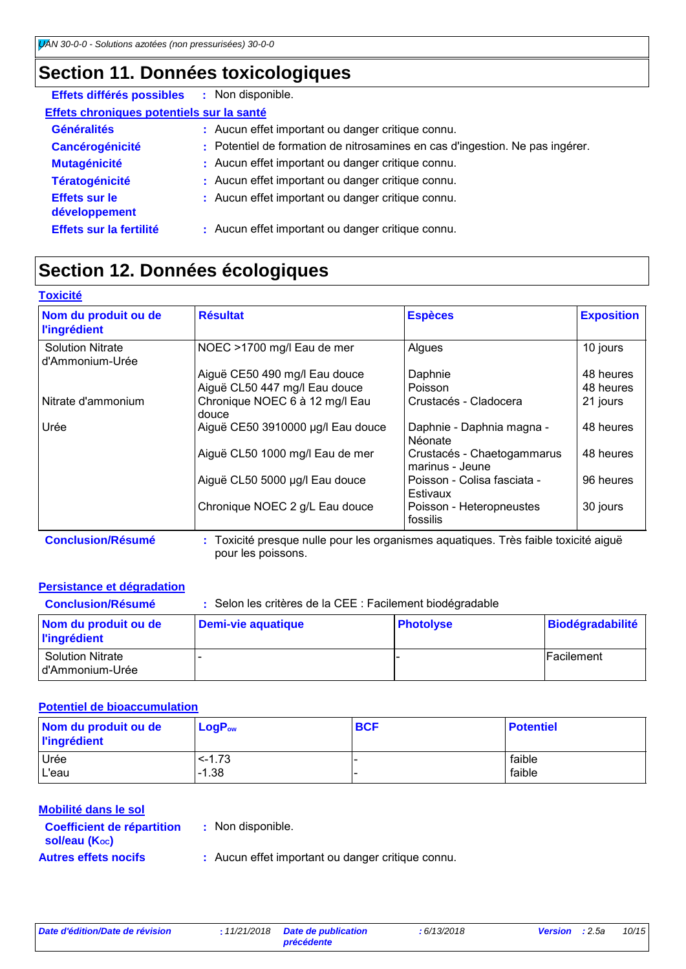## **Section 11. Données toxicologiques**

| Effets différés possibles                 | : Non disponible.                                                            |
|-------------------------------------------|------------------------------------------------------------------------------|
| Effets chroniques potentiels sur la santé |                                                                              |
| <b>Généralités</b>                        | : Aucun effet important ou danger critique connu.                            |
| <b>Cancérogénicité</b>                    | : Potentiel de formation de nitrosamines en cas d'ingestion. Ne pas ingérer. |
| <b>Mutagénicité</b>                       | : Aucun effet important ou danger critique connu.                            |
| <b>Tératogénicité</b>                     | : Aucun effet important ou danger critique connu.                            |
| <b>Effets sur le</b><br>développement     | : Aucun effet important ou danger critique connu.                            |
| Effets sur la fertilité                   | : Aucun effet important ou danger critique connu.                            |

## **Section 12. Données écologiques**

| <b>Toxicité</b>                             |                                                                                     |                                               |                   |
|---------------------------------------------|-------------------------------------------------------------------------------------|-----------------------------------------------|-------------------|
| Nom du produit ou de<br><b>l'ingrédient</b> | <b>Résultat</b>                                                                     | <b>Espèces</b>                                | <b>Exposition</b> |
| <b>Solution Nitrate</b><br>d'Ammonium-Urée  | NOEC >1700 mg/l Eau de mer                                                          | Algues                                        | 10 jours          |
|                                             | Aiguë CE50 490 mg/l Eau douce                                                       | Daphnie                                       | 48 heures         |
|                                             | Aiguë CL50 447 mg/l Eau douce                                                       | Poisson                                       | 48 heures         |
| Nitrate d'ammonium                          | Chronique NOEC 6 à 12 mg/l Eau<br>douce                                             | Crustacés - Cladocera                         | 21 jours          |
| Urée                                        | Aiguë CE50 3910000 µg/l Eau douce                                                   | Daphnie - Daphnia magna -<br><b>Néonate</b>   | 48 heures         |
|                                             | Aiquë CL50 1000 mg/l Eau de mer                                                     | Crustacés - Chaetogammarus<br>marinus - Jeune | 48 heures         |
|                                             | Aiguë CL50 5000 µg/l Eau douce                                                      | Poisson - Colisa fasciata -<br>Estivaux       | 96 heures         |
|                                             | Chronique NOEC 2 g/L Eau douce                                                      | Poisson - Heteropneustes<br>fossilis          | 30 jours          |
| <b>Conclusion/Résumé</b>                    | : Toxicité presque nulle pour les organismes aquatiques. Très faible toxicité aiguë |                                               |                   |

pour les poissons.

#### **Persistance et dégradation**

| <b>Conclusion/Résumé</b>                    | : Selon les critères de la CEE : Facilement biodégradable |                  |                         |  |  |
|---------------------------------------------|-----------------------------------------------------------|------------------|-------------------------|--|--|
| Nom du produit ou de<br><b>l'ingrédient</b> | Demi-vie aquatique                                        | <b>Photolyse</b> | <b>Biodégradabilité</b> |  |  |
| <b>Solution Nitrate</b><br>d'Ammonium-Urée  |                                                           |                  | <b>Facilement</b>       |  |  |

#### **Potentiel de bioaccumulation**

| Nom du produit ou de<br><b>l'ingrédient</b> | $LogP_{ow}$ | <b>BCF</b> | <b>Potentiel</b> |
|---------------------------------------------|-------------|------------|------------------|
| Urée                                        | $< -1.73$   |            | faible           |
| L'eau                                       | $-1.38$     |            | faible           |

#### **Mobilité dans le sol**

| <b>Coefficient de répartition</b> |  |
|-----------------------------------|--|
| sol/eau (Koc)                     |  |
| <b>Autres effets nocifs</b>       |  |

- **:** Non disponible.
	- Aucun effet important ou danger critique connu.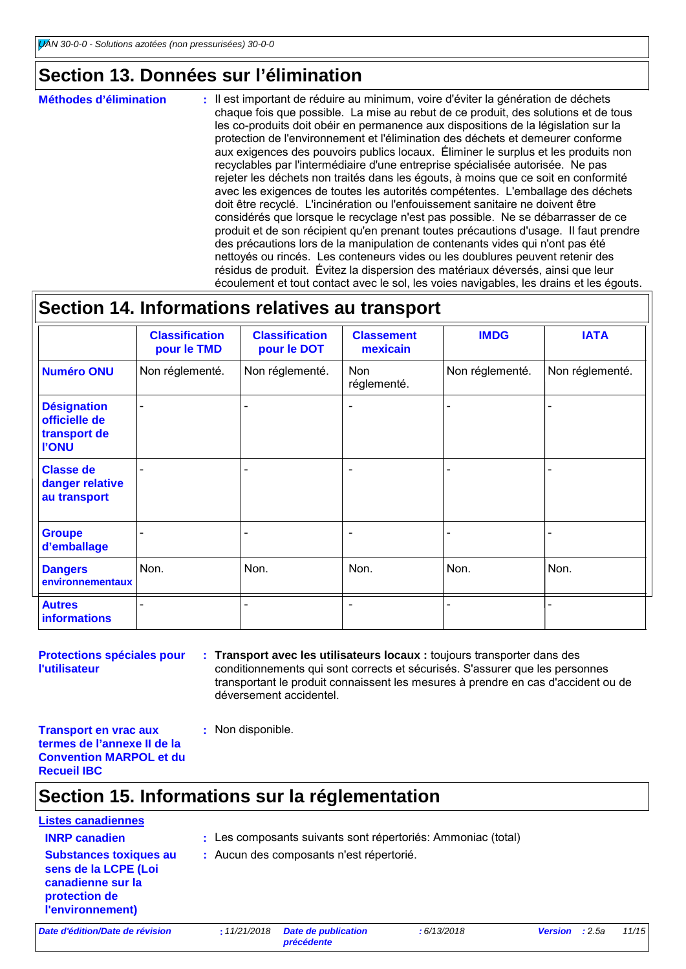### **Section 13. Données sur l'élimination**

Il est important de réduire au minimum, voire d'éviter la génération de déchets chaque fois que possible. La mise au rebut de ce produit, des solutions et de tous les co-produits doit obéir en permanence aux dispositions de la législation sur la protection de l'environnement et l'élimination des déchets et demeurer conforme aux exigences des pouvoirs publics locaux. Éliminer le surplus et les produits non recyclables par l'intermédiaire d'une entreprise spécialisée autorisée. Ne pas rejeter les déchets non traités dans les égouts, à moins que ce soit en conformité avec les exigences de toutes les autorités compétentes. L'emballage des déchets doit être recyclé. L'incinération ou l'enfouissement sanitaire ne doivent être considérés que lorsque le recyclage n'est pas possible. Ne se débarrasser de ce produit et de son récipient qu'en prenant toutes précautions d'usage. Il faut prendre des précautions lors de la manipulation de contenants vides qui n'ont pas été nettoyés ou rincés. Les conteneurs vides ou les doublures peuvent retenir des résidus de produit. Évitez la dispersion des matériaux déversés, ainsi que leur écoulement et tout contact avec le sol, les voies navigables, les drains et les égouts. **Méthodes d'élimination :**

### **Section 14. Informations relatives au transport**

|                                                                     | <b>Classification</b><br>pour le TMD | <b>Classification</b><br>pour le DOT | <b>Classement</b><br>mexicain | <b>IMDG</b>     | <b>IATA</b>              |
|---------------------------------------------------------------------|--------------------------------------|--------------------------------------|-------------------------------|-----------------|--------------------------|
| <b>Numéro ONU</b>                                                   | Non réglementé.                      | Non réglementé.                      | <b>Non</b><br>réglementé.     | Non réglementé. | Non réglementé.          |
| <b>Désignation</b><br>officielle de<br>transport de<br><b>I'ONU</b> |                                      |                                      |                               |                 |                          |
| <b>Classe de</b><br>danger relative<br>au transport                 |                                      |                                      | ٠                             |                 | $\overline{\phantom{0}}$ |
| <b>Groupe</b><br>d'emballage                                        |                                      |                                      |                               |                 |                          |
| <b>Dangers</b><br>environnementaux                                  | Non.                                 | Non.                                 | Non.                          | Non.            | Non.                     |
| <b>Autres</b><br><b>informations</b>                                |                                      |                                      |                               |                 |                          |

**Protections spéciales pour l'utilisateur**

- **Transport avec les utilisateurs locaux :** toujours transporter dans des **:** conditionnements qui sont corrects et sécurisés. S'assurer que les personnes transportant le produit connaissent les mesures à prendre en cas d'accident ou de déversement accidentel.
- **Transport en vrac aux termes de l'annexe II de la Convention MARPOL et du Recueil IBC**

### **Section 15. Informations sur la réglementation**

**:** Non disponible.

### **Listes canadiennes**

- **INRP canadien :** Les composants suivants sont répertoriés: Ammoniac (total)
- **Substances toxiques au sens de la LCPE (Loi canadienne sur la protection de l'environnement)**
- **:** Aucun des composants n'est répertorié.

*Date d'édition/Date de révision* **:** *11/21/2018 Date de publication* 

*précédente*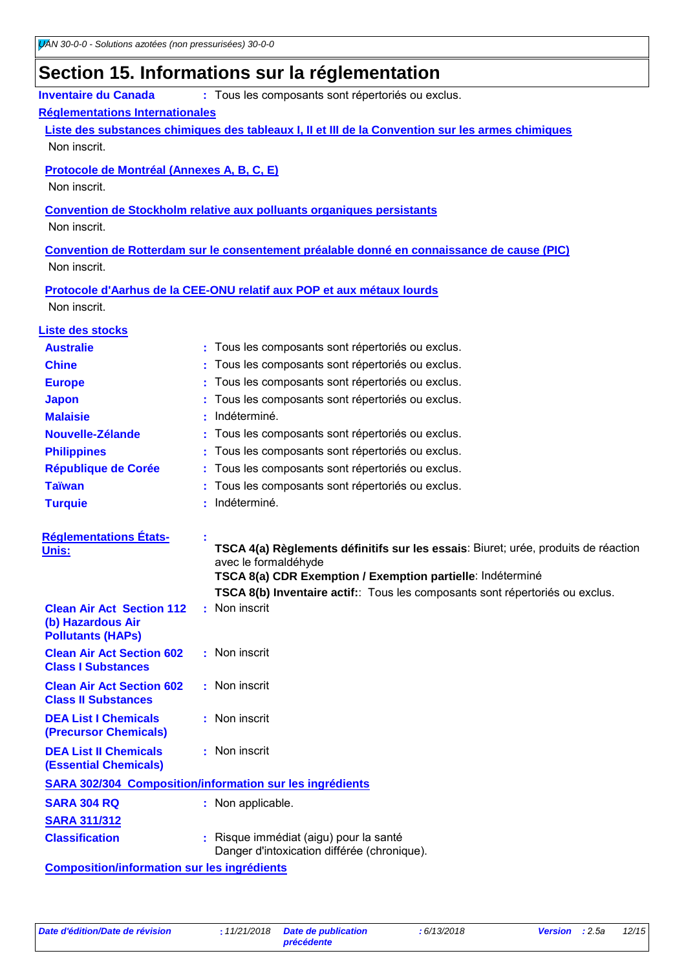# **Section 15. Informations sur la réglementation**

| <b>Inventaire du Canada</b>                                    | : Tous les composants sont répertoriés ou exclus.                                                          |
|----------------------------------------------------------------|------------------------------------------------------------------------------------------------------------|
| <b>Réglementations Internationales</b>                         |                                                                                                            |
|                                                                | Liste des substances chimiques des tableaux I, II et III de la Convention sur les armes chimiques          |
| Non inscrit.                                                   |                                                                                                            |
| Protocole de Montréal (Annexes A, B, C, E)                     |                                                                                                            |
| Non inscrit.                                                   |                                                                                                            |
|                                                                | <b>Convention de Stockholm relative aux polluants organiques persistants</b>                               |
| Non inscrit.                                                   |                                                                                                            |
|                                                                | Convention de Rotterdam sur le consentement préalable donné en connaissance de cause (PIC)                 |
| Non inscrit.                                                   |                                                                                                            |
|                                                                | Protocole d'Aarhus de la CEE-ONU relatif aux POP et aux métaux lourds                                      |
| Non inscrit.                                                   |                                                                                                            |
| Liste des stocks                                               |                                                                                                            |
| <b>Australie</b>                                               | Tous les composants sont répertoriés ou exclus.<br>÷.                                                      |
| <b>Chine</b>                                                   | Tous les composants sont répertoriés ou exclus.                                                            |
| <b>Europe</b>                                                  | Tous les composants sont répertoriés ou exclus.                                                            |
| <b>Japon</b>                                                   | Tous les composants sont répertoriés ou exclus.                                                            |
| <b>Malaisie</b>                                                | Indéterminé.                                                                                               |
| Nouvelle-Zélande                                               | Tous les composants sont répertoriés ou exclus.                                                            |
| <b>Philippines</b>                                             | Tous les composants sont répertoriés ou exclus.                                                            |
| République de Corée                                            | Tous les composants sont répertoriés ou exclus.                                                            |
| <b>Taïwan</b>                                                  | Tous les composants sont répertoriés ou exclus.                                                            |
| <b>Turquie</b>                                                 | Indéterminé.                                                                                               |
|                                                                |                                                                                                            |
| <b>Réglementations États-</b>                                  |                                                                                                            |
| Unis:                                                          | TSCA 4(a) Règlements définitifs sur les essais: Biuret; urée, produits de réaction<br>avec le formaldéhyde |
|                                                                | TSCA 8(a) CDR Exemption / Exemption partielle: Indéterminé                                                 |
|                                                                | TSCA 8(b) Inventaire actif: Tous les composants sont répertoriés ou exclus.                                |
| <b>Clean Air Act Section 112</b>                               | : Non inscrit                                                                                              |
| (b) Hazardous Air                                              |                                                                                                            |
| <b>Pollutants (HAPs)</b>                                       |                                                                                                            |
| <b>Clean Air Act Section 602</b><br><b>Class I Substances</b>  | : Non inscrit                                                                                              |
| <b>Clean Air Act Section 602</b><br><b>Class II Substances</b> | : Non inscrit                                                                                              |
| <b>DEA List I Chemicals</b><br><b>(Precursor Chemicals)</b>    | : Non inscrit                                                                                              |
| <b>DEA List II Chemicals</b><br><b>(Essential Chemicals)</b>   | : Non inscrit                                                                                              |
|                                                                | <b>SARA 302/304 Composition/information sur les ingrédients</b>                                            |
| <b>SARA 304 RQ</b>                                             | : Non applicable.                                                                                          |
| <b>SARA 311/312</b>                                            |                                                                                                            |
| <b>Classification</b>                                          | : Risque immédiat (aigu) pour la santé                                                                     |
|                                                                | Danger d'intoxication différée (chronique).                                                                |
|                                                                |                                                                                                            |

**Composition/information sur les ingrédients**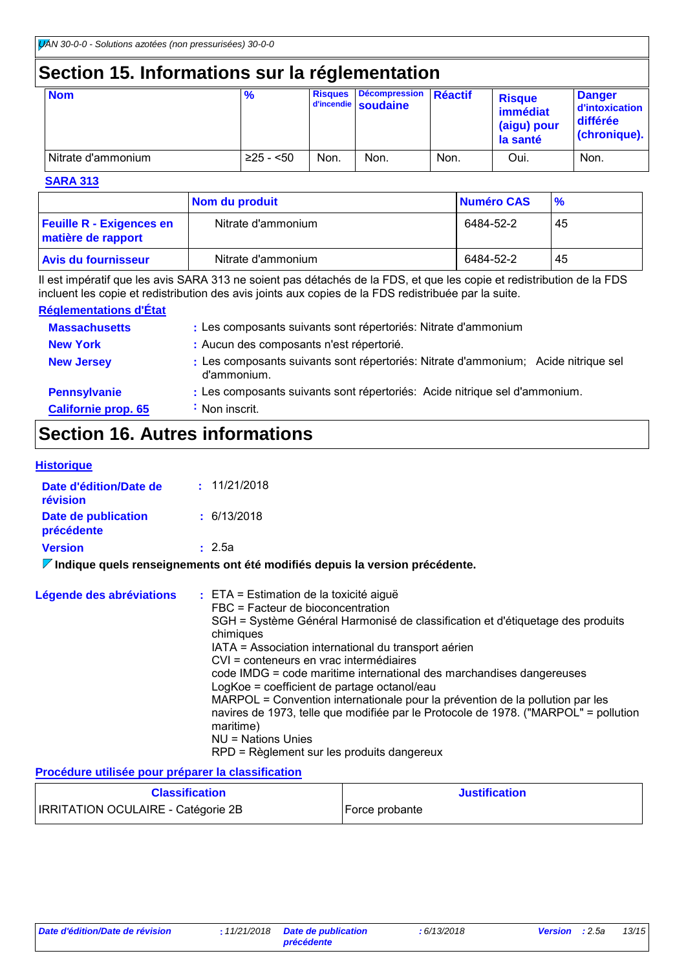### **Section 15. Informations sur la réglementation**

| <b>Nom</b>            | $\frac{9}{6}$ | <b>Risques</b> | <b>Décompression</b><br>d'incendie soudaine | Réactif | <b>Risque</b><br>immédiat<br>(aigu) pour<br>la santé | <b>Danger</b><br>d'intoxication<br>différée<br>(chronique). |
|-----------------------|---------------|----------------|---------------------------------------------|---------|------------------------------------------------------|-------------------------------------------------------------|
| l Nitrate d'ammonium. | $≥25 - 50$    | Non.           | Non.                                        | Non.    | Oui.                                                 | Non.                                                        |

#### **SARA 313**

|                                                       | Nom du produit     | Numéro CAS | $\frac{9}{6}$ |
|-------------------------------------------------------|--------------------|------------|---------------|
| <b>Feuille R - Exigences en</b><br>matière de rapport | Nitrate d'ammonium | 6484-52-2  | -45           |
| <b>Avis du fournisseur</b>                            | Nitrate d'ammonium | 6484-52-2  | 45            |

Il est impératif que les avis SARA 313 ne soient pas détachés de la FDS, et que les copie et redistribution de la FDS incluent les copie et redistribution des avis joints aux copies de la FDS redistribuée par la suite.

#### **Réglementations d'État**

| <b>Massachusetts</b>       | : Les composants suivants sont répertoriés: Nitrate d'ammonium                                    |
|----------------------------|---------------------------------------------------------------------------------------------------|
| <b>New York</b>            | : Aucun des composants n'est répertorié.                                                          |
| <b>New Jersey</b>          | : Les composants suivants sont répertoriés: Nitrate d'ammonium; Acide nitrique sel<br>d'ammonium. |
| <b>Pennsylvanie</b>        | : Les composants suivants sont répertoriés: Acide nitrique sel d'ammonium.                        |
| <b>Californie prop. 65</b> | : Non inscrit.                                                                                    |

### **Section 16. Autres informations**

#### **Historique**

| Date d'édition/Date de<br>révision | : 11/21/2018   |
|------------------------------------|----------------|
| Date de publication<br>précédente  | : 6/13/2018    |
| <b>Version</b>                     | : 2.5a         |
|                                    | $\blacksquare$ |

**Indique quels renseignements ont été modifiés depuis la version précédente.**

| Légende des abréviations | $:$ ETA = Estimation de la toxicité aiguë                                                        |
|--------------------------|--------------------------------------------------------------------------------------------------|
|                          | FBC = Facteur de bioconcentration                                                                |
|                          | SGH = Système Général Harmonisé de classification et d'étiquetage des produits<br>chimiques      |
|                          | IATA = Association international du transport aérien                                             |
|                          | CVI = conteneurs en vrac intermédiaires                                                          |
|                          | code IMDG = code maritime international des marchandises dangereuses                             |
|                          | LogKoe = coefficient de partage octanol/eau                                                      |
|                          | MARPOL = Convention internationale pour la prévention de la pollution par les                    |
|                          | navires de 1973, telle que modifiée par le Protocole de 1978. ("MARPOL" = pollution<br>maritime) |
|                          | NU = Nations Unies                                                                               |
|                          | RPD = Règlement sur les produits dangereux                                                       |

#### **Procédure utilisée pour préparer la classification**

| <b>Classification</b>                     | <b>Justification</b> |
|-------------------------------------------|----------------------|
| <b>IRRITATION OCULAIRE - Catégorie 2B</b> | Force probante       |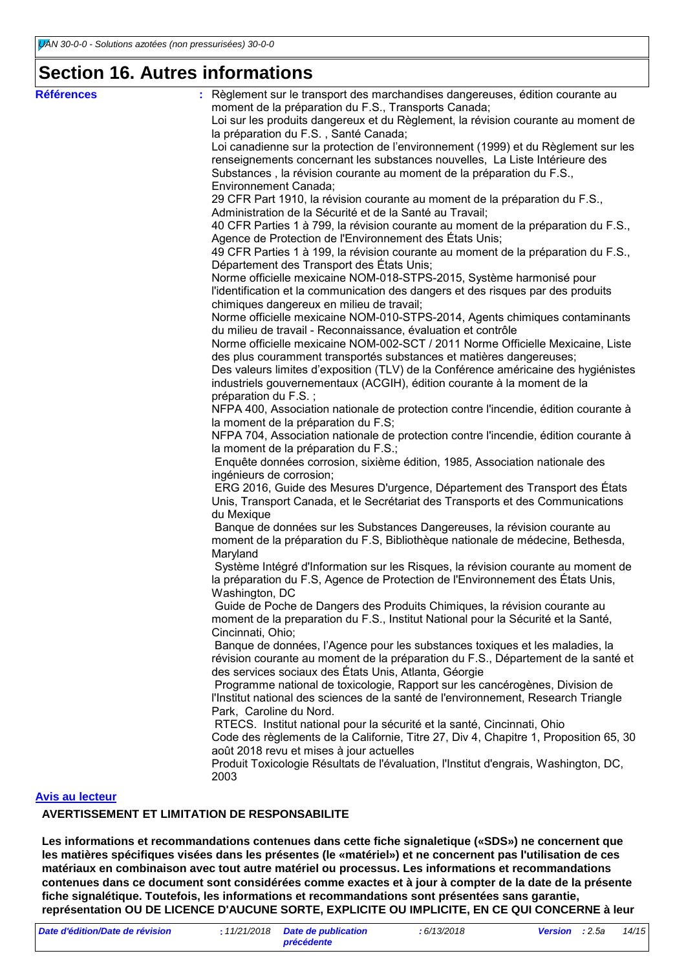### **Section 16. Autres informations**

| <b>Références</b>      | Règlement sur le transport des marchandises dangereuses, édition courante au                                               |
|------------------------|----------------------------------------------------------------------------------------------------------------------------|
|                        | moment de la préparation du F.S., Transports Canada;                                                                       |
|                        | Loi sur les produits dangereux et du Règlement, la révision courante au moment de<br>la préparation du F.S., Santé Canada; |
|                        | Loi canadienne sur la protection de l'environnement (1999) et du Règlement sur les                                         |
|                        | renseignements concernant les substances nouvelles, La Liste Intérieure des                                                |
|                        | Substances, la révision courante au moment de la préparation du F.S.,                                                      |
|                        | Environnement Canada;                                                                                                      |
|                        | 29 CFR Part 1910, la révision courante au moment de la préparation du F.S.,                                                |
|                        | Administration de la Sécurité et de la Santé au Travail;                                                                   |
|                        | 40 CFR Parties 1 à 799, la révision courante au moment de la préparation du F.S.,                                          |
|                        | Agence de Protection de l'Environnement des États Unis;                                                                    |
|                        | 49 CFR Parties 1 à 199, la révision courante au moment de la préparation du F.S.,                                          |
|                        | Département des Transport des États Unis;                                                                                  |
|                        | Norme officielle mexicaine NOM-018-STPS-2015, Système harmonisé pour                                                       |
|                        | l'identification et la communication des dangers et des risques par des produits                                           |
|                        | chimiques dangereux en milieu de travail;                                                                                  |
|                        | Norme officielle mexicaine NOM-010-STPS-2014, Agents chimiques contaminants                                                |
|                        | du milieu de travail - Reconnaissance, évaluation et contrôle                                                              |
|                        | Norme officielle mexicaine NOM-002-SCT / 2011 Norme Officielle Mexicaine, Liste                                            |
|                        | des plus couramment transportés substances et matières dangereuses;                                                        |
|                        | Des valeurs limites d'exposition (TLV) de la Conférence américaine des hygiénistes                                         |
|                        | industriels gouvernementaux (ACGIH), édition courante à la moment de la                                                    |
|                        | préparation du F.S.;                                                                                                       |
|                        | NFPA 400, Association nationale de protection contre l'incendie, édition courante à                                        |
|                        | la moment de la préparation du F.S;                                                                                        |
|                        | NFPA 704, Association nationale de protection contre l'incendie, édition courante à                                        |
|                        | la moment de la préparation du F.S.;                                                                                       |
|                        | Enquête données corrosion, sixième édition, 1985, Association nationale des                                                |
|                        | ingénieurs de corrosion;                                                                                                   |
|                        | ERG 2016, Guide des Mesures D'urgence, Département des Transport des États                                                 |
|                        | Unis, Transport Canada, et le Secrétariat des Transports et des Communications                                             |
|                        | du Mexique<br>Banque de données sur les Substances Dangereuses, la révision courante au                                    |
|                        | moment de la préparation du F.S, Bibliothèque nationale de médecine, Bethesda,                                             |
|                        | Maryland                                                                                                                   |
|                        | Système Intégré d'Information sur les Risques, la révision courante au moment de                                           |
|                        | la préparation du F.S, Agence de Protection de l'Environnement des États Unis,                                             |
|                        | Washington, DC                                                                                                             |
|                        | Guide de Poche de Dangers des Produits Chimiques, la révision courante au                                                  |
|                        | moment de la preparation du F.S., Institut National pour la Sécurité et la Santé,                                          |
|                        | Cincinnati, Ohio;                                                                                                          |
|                        | Banque de données, l'Agence pour les substances toxiques et les maladies, la                                               |
|                        | révision courante au moment de la préparation du F.S., Département de la santé et                                          |
|                        | des services sociaux des États Unis, Atlanta, Géorgie                                                                      |
|                        | Programme national de toxicologie, Rapport sur les cancérogènes, Division de                                               |
|                        | l'Institut national des sciences de la santé de l'environnement, Research Triangle                                         |
|                        | Park, Caroline du Nord.                                                                                                    |
|                        | RTECS. Institut national pour la sécurité et la santé, Cincinnati, Ohio                                                    |
|                        | Code des règlements de la Californie, Titre 27, Div 4, Chapitre 1, Proposition 65, 30                                      |
|                        | août 2018 revu et mises à jour actuelles                                                                                   |
|                        | Produit Toxicologie Résultats de l'évaluation, l'Institut d'engrais, Washington, DC,<br>2003                               |
|                        |                                                                                                                            |
| <b>Avis au lecteur</b> |                                                                                                                            |
|                        |                                                                                                                            |

#### **AVERTISSEMENT ET LIMITATION DE RESPONSABILITE**

**Les informations et recommandations contenues dans cette fiche signaletique («SDS») ne concernent que les matières spécifiques visées dans les présentes (le «matériel») et ne concernent pas l'utilisation de ces matériaux en combinaison avec tout autre matériel ou processus. Les informations et recommandations contenues dans ce document sont considérées comme exactes et à jour à compter de la date de la présente fiche signalétique. Toutefois, les informations et recommandations sont présentées sans garantie, représentation OU DE LICENCE D'AUCUNE SORTE, EXPLICITE OU IMPLICITE, EN CE QUI CONCERNE à leur**